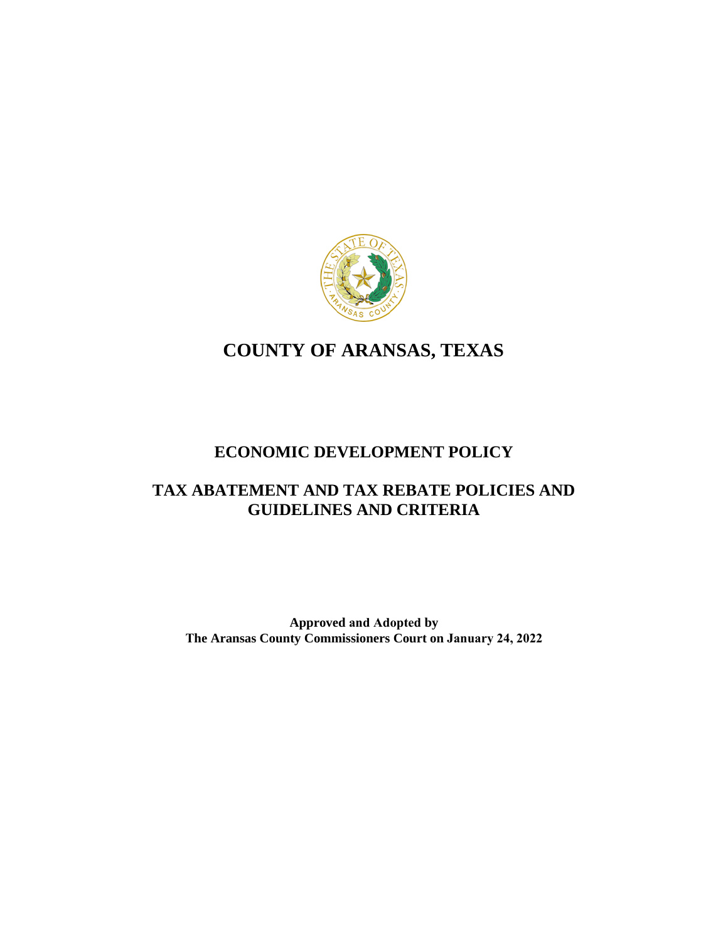

# **COUNTY OF ARANSAS, TEXAS**

## **ECONOMIC DEVELOPMENT POLICY**

## **TAX ABATEMENT AND TAX REBATE POLICIES AND GUIDELINES AND CRITERIA**

**Approved and Adopted by The Aransas County Commissioners Court on January 24, 2022**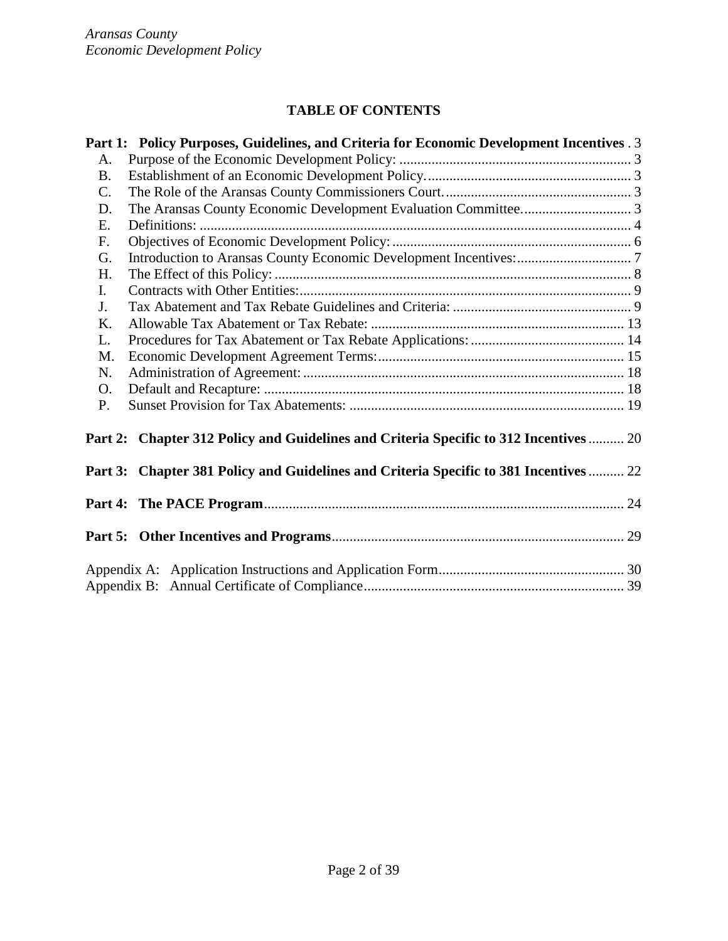## **TABLE OF CONTENTS**

|                | Part 1: Policy Purposes, Guidelines, and Criteria for Economic Development Incentives . 3 |  |
|----------------|-------------------------------------------------------------------------------------------|--|
| A.             |                                                                                           |  |
| <b>B.</b>      |                                                                                           |  |
| $\mathbf{C}$ . |                                                                                           |  |
| D.             |                                                                                           |  |
| E.             |                                                                                           |  |
| F.             |                                                                                           |  |
| G.             |                                                                                           |  |
| H.             |                                                                                           |  |
| $\mathbf{I}$ . |                                                                                           |  |
| J.             |                                                                                           |  |
| K.             |                                                                                           |  |
| L.             |                                                                                           |  |
| M.             |                                                                                           |  |
| N.             |                                                                                           |  |
| O.             |                                                                                           |  |
| P.             |                                                                                           |  |
|                | Part 2: Chapter 312 Policy and Guidelines and Criteria Specific to 312 Incentives  20     |  |
|                | Part 3: Chapter 381 Policy and Guidelines and Criteria Specific to 381 Incentives  22     |  |
|                |                                                                                           |  |
|                |                                                                                           |  |
|                |                                                                                           |  |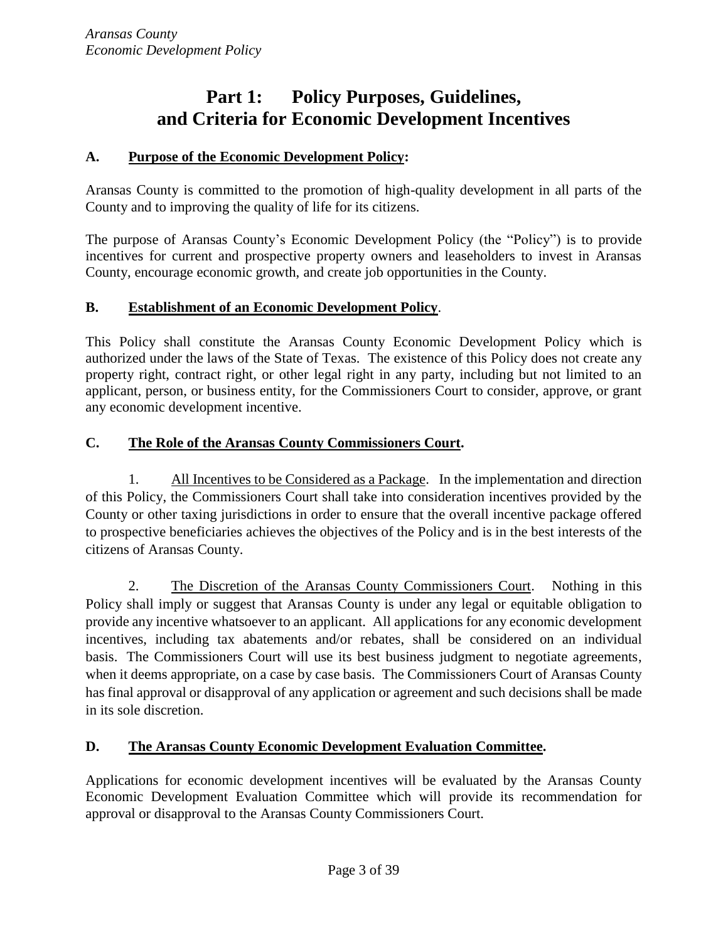# **Part 1: Policy Purposes, Guidelines, and Criteria for Economic Development Incentives**

## <span id="page-2-1"></span><span id="page-2-0"></span>**A. Purpose of the Economic Development Policy:**

Aransas County is committed to the promotion of high-quality development in all parts of the County and to improving the quality of life for its citizens.

The purpose of Aransas County's Economic Development Policy (the "Policy") is to provide incentives for current and prospective property owners and leaseholders to invest in Aransas County, encourage economic growth, and create job opportunities in the County.

## <span id="page-2-2"></span>**B. Establishment of an Economic Development Policy**.

This Policy shall constitute the Aransas County Economic Development Policy which is authorized under the laws of the State of Texas. The existence of this Policy does not create any property right, contract right, or other legal right in any party, including but not limited to an applicant, person, or business entity, for the Commissioners Court to consider, approve, or grant any economic development incentive.

## <span id="page-2-3"></span>**C. The Role of the Aransas County Commissioners Court.**

1. All Incentives to be Considered as a Package. In the implementation and direction of this Policy, the Commissioners Court shall take into consideration incentives provided by the County or other taxing jurisdictions in order to ensure that the overall incentive package offered to prospective beneficiaries achieves the objectives of the Policy and is in the best interests of the citizens of Aransas County.

2. The Discretion of the Aransas County Commissioners Court. Nothing in this Policy shall imply or suggest that Aransas County is under any legal or equitable obligation to provide any incentive whatsoever to an applicant. All applications for any economic development incentives, including tax abatements and/or rebates, shall be considered on an individual basis. The Commissioners Court will use its best business judgment to negotiate agreements, when it deems appropriate, on a case by case basis. The Commissioners Court of Aransas County has final approval or disapproval of any application or agreement and such decisions shall be made in its sole discretion.

## <span id="page-2-4"></span>**D. The Aransas County Economic Development Evaluation Committee.**

Applications for economic development incentives will be evaluated by the Aransas County Economic Development Evaluation Committee which will provide its recommendation for approval or disapproval to the Aransas County Commissioners Court.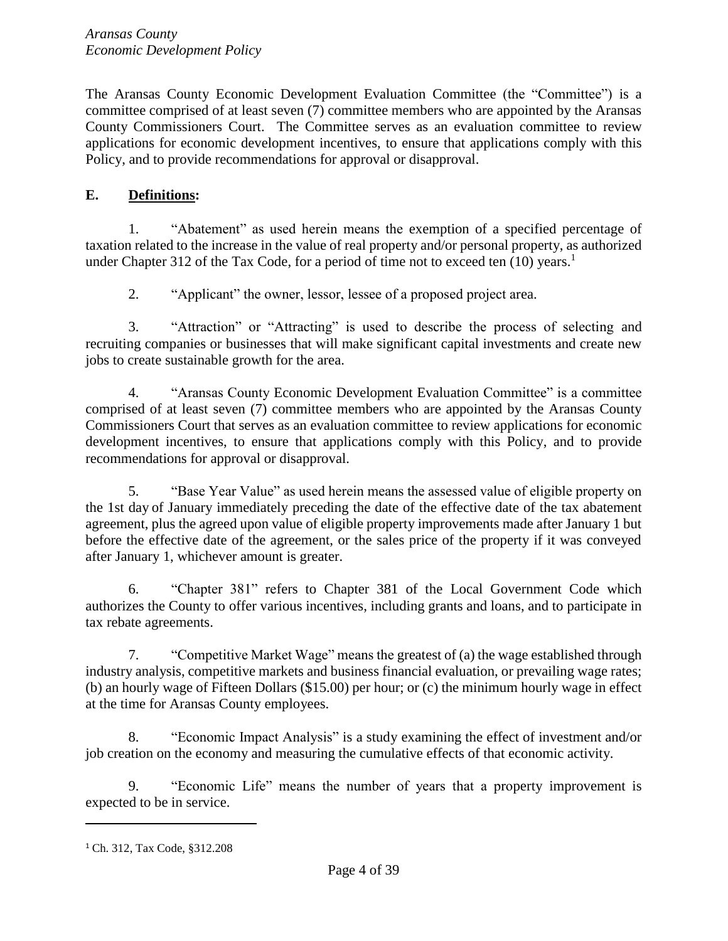The Aransas County Economic Development Evaluation Committee (the "Committee") is a committee comprised of at least seven (7) committee members who are appointed by the Aransas County Commissioners Court. The Committee serves as an evaluation committee to review applications for economic development incentives, to ensure that applications comply with this Policy, and to provide recommendations for approval or disapproval.

## <span id="page-3-0"></span>**E. Definitions:**

1. "Abatement" as used herein means the exemption of a specified percentage of taxation related to the increase in the value of real property and/or personal property, as authorized under Chapter 312 of the Tax Code, for a period of time not to exceed ten (10) years.<sup>1</sup>

2. "Applicant" the owner, lessor, lessee of a proposed project area.

3. "Attraction" or "Attracting" is used to describe the process of selecting and recruiting companies or businesses that will make significant capital investments and create new jobs to create sustainable growth for the area.

4. "Aransas County Economic Development Evaluation Committee" is a committee comprised of at least seven (7) committee members who are appointed by the Aransas County Commissioners Court that serves as an evaluation committee to review applications for economic development incentives, to ensure that applications comply with this Policy, and to provide recommendations for approval or disapproval.

5. "Base Year Value" as used herein means the assessed value of eligible property on the 1st day of January immediately preceding the date of the effective date of the tax abatement agreement, plus the agreed upon value of eligible property improvements made after January 1 but before the effective date of the agreement, or the sales price of the property if it was conveyed after January 1, whichever amount is greater.

6. "Chapter 381" refers to Chapter 381 of the Local Government Code which authorizes the County to offer various incentives, including grants and loans, and to participate in tax rebate agreements.

7. "Competitive Market Wage" means the greatest of (a) the wage established through industry analysis, competitive markets and business financial evaluation, or prevailing wage rates; (b) an hourly wage of Fifteen Dollars (\$15.00) per hour; or (c) the minimum hourly wage in effect at the time for Aransas County employees.

8. "Economic Impact Analysis" is a study examining the effect of investment and/or job creation on the economy and measuring the cumulative effects of that economic activity.

9. "Economic Life" means the number of years that a property improvement is expected to be in service.

<sup>1</sup> Ch. 312, Tax Code, §312.208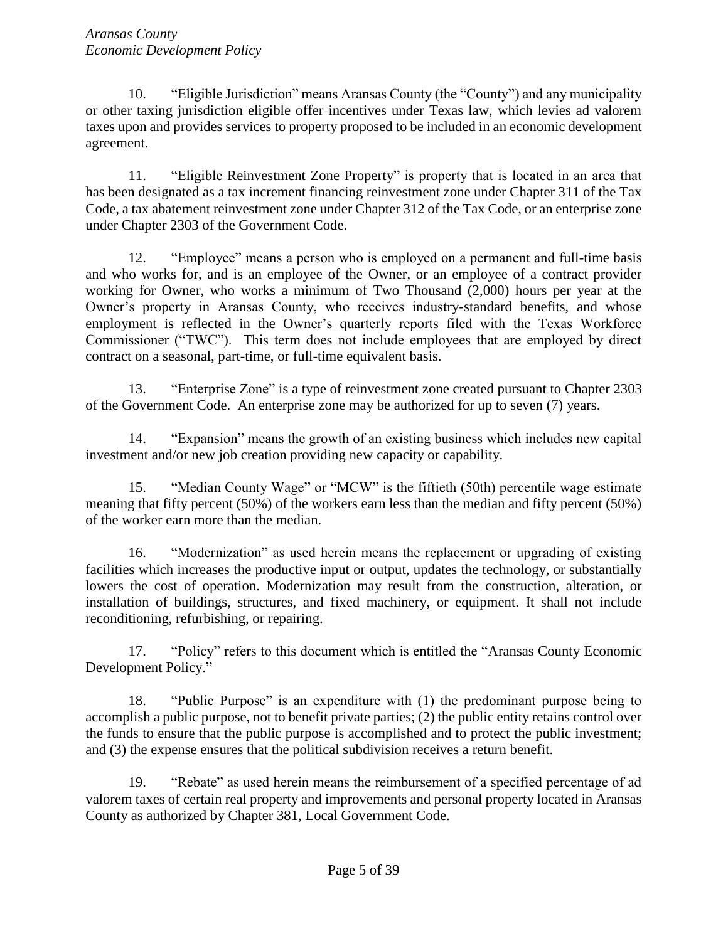10. "Eligible Jurisdiction" means Aransas County (the "County") and any municipality or other taxing jurisdiction eligible offer incentives under Texas law, which levies ad valorem taxes upon and provides services to property proposed to be included in an economic development agreement.

11. "Eligible Reinvestment Zone Property" is property that is located in an area that has been designated as a tax increment financing reinvestment zone under Chapter 311 of the Tax Code, a tax abatement reinvestment zone under Chapter 312 of the Tax Code, or an enterprise zone under Chapter 2303 of the Government Code.

12. "Employee" means a person who is employed on a permanent and full-time basis and who works for, and is an employee of the Owner, or an employee of a contract provider working for Owner, who works a minimum of Two Thousand (2,000) hours per year at the Owner's property in Aransas County, who receives industry-standard benefits, and whose employment is reflected in the Owner's quarterly reports filed with the Texas Workforce Commissioner ("TWC"). This term does not include employees that are employed by direct contract on a seasonal, part-time, or full-time equivalent basis.

13. "Enterprise Zone" is a type of reinvestment zone created pursuant to Chapter 2303 of the Government Code. An enterprise zone may be authorized for up to seven (7) years.

14. "Expansion" means the growth of an existing business which includes new capital investment and/or new job creation providing new capacity or capability.

15. "Median County Wage" or "MCW" is the fiftieth (50th) percentile wage estimate meaning that fifty percent (50%) of the workers earn less than the median and fifty percent (50%) of the worker earn more than the median.

16. "Modernization" as used herein means the replacement or upgrading of existing facilities which increases the productive input or output, updates the technology, or substantially lowers the cost of operation. Modernization may result from the construction, alteration, or installation of buildings, structures, and fixed machinery, or equipment. It shall not include reconditioning, refurbishing, or repairing.

17. "Policy" refers to this document which is entitled the "Aransas County Economic Development Policy."

18. "Public Purpose" is an expenditure with (1) the predominant purpose being to accomplish a public purpose, not to benefit private parties; (2) the public entity retains control over the funds to ensure that the public purpose is accomplished and to protect the public investment; and (3) the expense ensures that the political subdivision receives a return benefit.

19. "Rebate" as used herein means the reimbursement of a specified percentage of ad valorem taxes of certain real property and improvements and personal property located in Aransas County as authorized by Chapter 381, Local Government Code.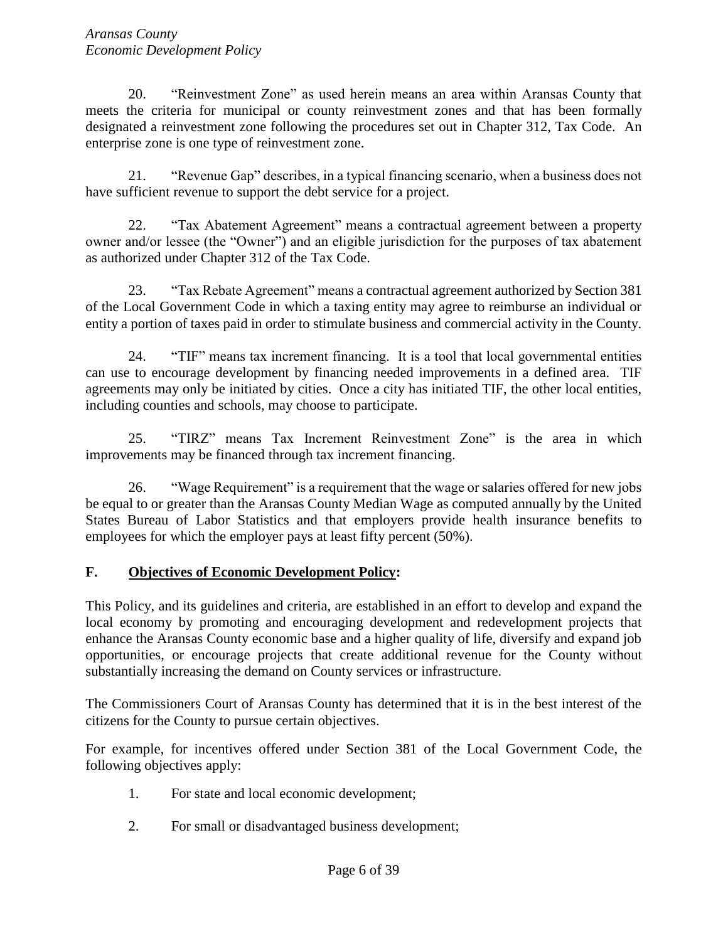20. "Reinvestment Zone" as used herein means an area within Aransas County that meets the criteria for municipal or county reinvestment zones and that has been formally designated a reinvestment zone following the procedures set out in Chapter 312, Tax Code. An enterprise zone is one type of reinvestment zone.

21. "Revenue Gap" describes, in a typical financing scenario, when a business does not have sufficient revenue to support the debt service for a project.

22. "Tax Abatement Agreement" means a contractual agreement between a property owner and/or lessee (the "Owner") and an eligible jurisdiction for the purposes of tax abatement as authorized under Chapter 312 of the Tax Code.

23. "Tax Rebate Agreement" means a contractual agreement authorized by Section 381 of the Local Government Code in which a taxing entity may agree to reimburse an individual or entity a portion of taxes paid in order to stimulate business and commercial activity in the County.

24. "TIF" means tax increment financing. It is a tool that local governmental entities can use to encourage development by financing needed improvements in a defined area. TIF agreements may only be initiated by cities. Once a city has initiated TIF, the other local entities, including counties and schools, may choose to participate.

25. "TIRZ" means Tax Increment Reinvestment Zone" is the area in which improvements may be financed through tax increment financing.

26. "Wage Requirement" is a requirement that the wage or salaries offered for new jobs be equal to or greater than the Aransas County Median Wage as computed annually by the United States Bureau of Labor Statistics and that employers provide health insurance benefits to employees for which the employer pays at least fifty percent (50%).

## <span id="page-5-0"></span>**F. Objectives of Economic Development Policy:**

This Policy, and its guidelines and criteria, are established in an effort to develop and expand the local economy by promoting and encouraging development and redevelopment projects that enhance the Aransas County economic base and a higher quality of life, diversify and expand job opportunities, or encourage projects that create additional revenue for the County without substantially increasing the demand on County services or infrastructure.

The Commissioners Court of Aransas County has determined that it is in the best interest of the citizens for the County to pursue certain objectives.

For example, for incentives offered under Section 381 of the Local Government Code, the following objectives apply:

- 1. For state and local economic development;
- 2. For small or disadvantaged business development;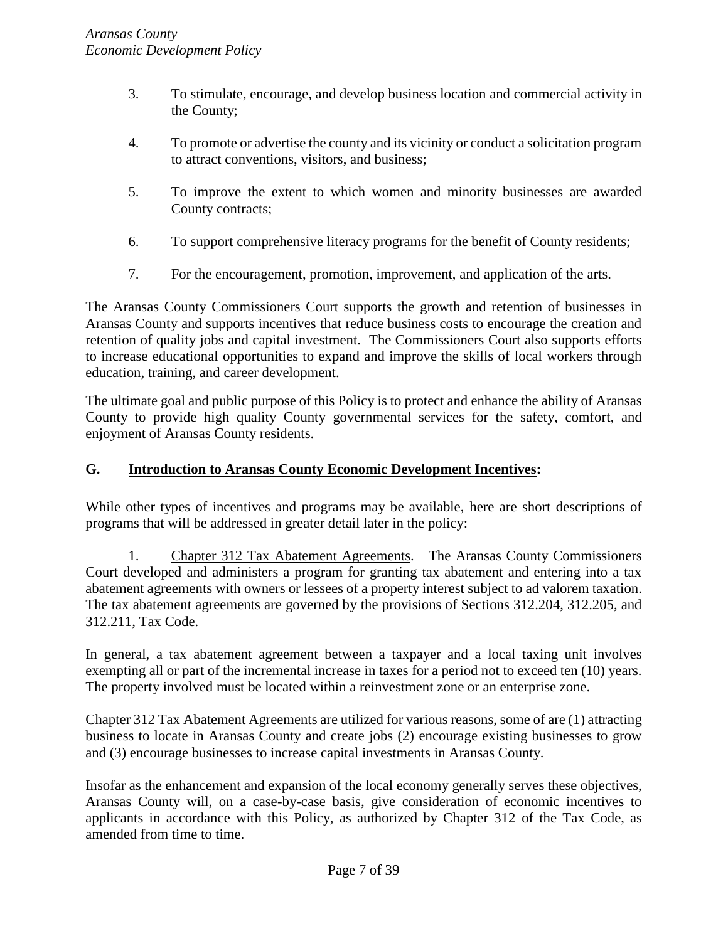- 3. To stimulate, encourage, and develop business location and commercial activity in the County;
- 4. To promote or advertise the county and its vicinity or conduct a solicitation program to attract conventions, visitors, and business;
- 5. To improve the extent to which women and minority businesses are awarded County contracts;
- 6. To support comprehensive literacy programs for the benefit of County residents;
- 7. For the encouragement, promotion, improvement, and application of the arts.

The Aransas County Commissioners Court supports the growth and retention of businesses in Aransas County and supports incentives that reduce business costs to encourage the creation and retention of quality jobs and capital investment. The Commissioners Court also supports efforts to increase educational opportunities to expand and improve the skills of local workers through education, training, and career development.

The ultimate goal and public purpose of this Policy is to protect and enhance the ability of Aransas County to provide high quality County governmental services for the safety, comfort, and enjoyment of Aransas County residents.

## <span id="page-6-0"></span>**G. Introduction to Aransas County Economic Development Incentives:**

While other types of incentives and programs may be available, here are short descriptions of programs that will be addressed in greater detail later in the policy:

1. Chapter 312 Tax Abatement Agreements. The Aransas County Commissioners Court developed and administers a program for granting tax abatement and entering into a tax abatement agreements with owners or lessees of a property interest subject to ad valorem taxation. The tax abatement agreements are governed by the provisions of Sections 312.204, 312.205, and 312.211, Tax Code.

In general, a tax abatement agreement between a taxpayer and a local taxing unit involves exempting all or part of the incremental increase in taxes for a period not to exceed ten (10) years. The property involved must be located within a reinvestment zone or an enterprise zone.

Chapter 312 Tax Abatement Agreements are utilized for various reasons, some of are (1) attracting business to locate in Aransas County and create jobs (2) encourage existing businesses to grow and (3) encourage businesses to increase capital investments in Aransas County.

Insofar as the enhancement and expansion of the local economy generally serves these objectives, Aransas County will, on a case-by-case basis, give consideration of economic incentives to applicants in accordance with this Policy, as authorized by Chapter 312 of the Tax Code, as amended from time to time.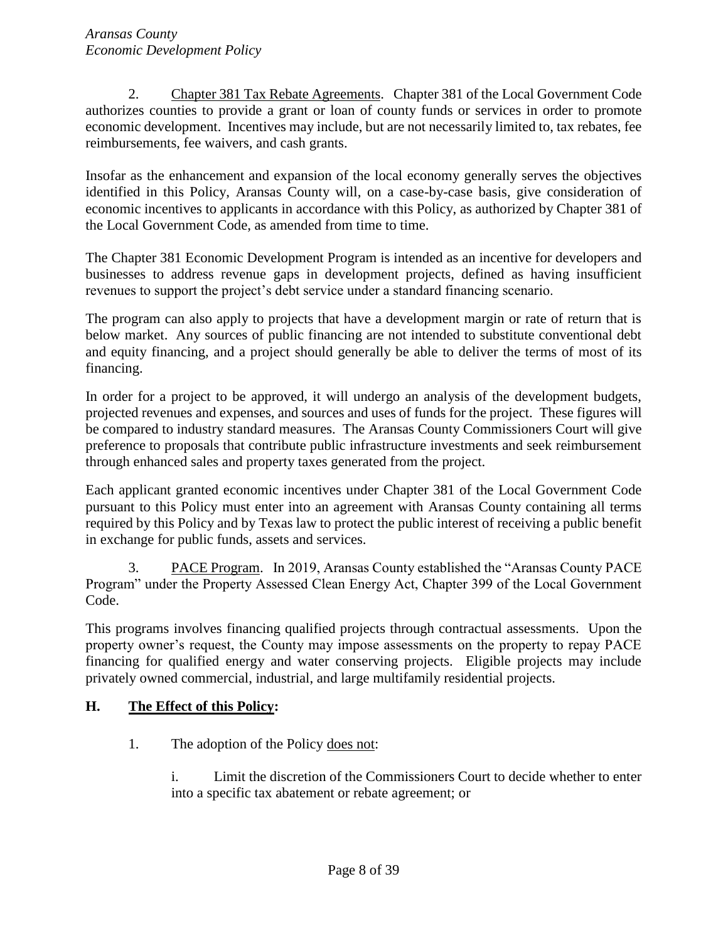2. Chapter 381 Tax Rebate Agreements. Chapter 381 of the Local Government Code authorizes counties to provide a grant or loan of county funds or services in order to promote economic development. Incentives may include, but are not necessarily limited to, tax rebates, fee reimbursements, fee waivers, and cash grants.

Insofar as the enhancement and expansion of the local economy generally serves the objectives identified in this Policy, Aransas County will, on a case-by-case basis, give consideration of economic incentives to applicants in accordance with this Policy, as authorized by Chapter 381 of the Local Government Code, as amended from time to time.

The Chapter 381 Economic Development Program is intended as an incentive for developers and businesses to address revenue gaps in development projects, defined as having insufficient revenues to support the project's debt service under a standard financing scenario.

The program can also apply to projects that have a development margin or rate of return that is below market. Any sources of public financing are not intended to substitute conventional debt and equity financing, and a project should generally be able to deliver the terms of most of its financing.

In order for a project to be approved, it will undergo an analysis of the development budgets, projected revenues and expenses, and sources and uses of funds for the project. These figures will be compared to industry standard measures. The Aransas County Commissioners Court will give preference to proposals that contribute public infrastructure investments and seek reimbursement through enhanced sales and property taxes generated from the project.

Each applicant granted economic incentives under Chapter 381 of the Local Government Code pursuant to this Policy must enter into an agreement with Aransas County containing all terms required by this Policy and by Texas law to protect the public interest of receiving a public benefit in exchange for public funds, assets and services.

3. PACE Program. In 2019, Aransas County established the "Aransas County PACE Program" under the Property Assessed Clean Energy Act, Chapter 399 of the Local Government Code.

This programs involves financing qualified projects through contractual assessments. Upon the property owner's request, the County may impose assessments on the property to repay PACE financing for qualified energy and water conserving projects. Eligible projects may include privately owned commercial, industrial, and large multifamily residential projects.

## <span id="page-7-0"></span>**H. The Effect of this Policy:**

- 1. The adoption of the Policy does not:
	- i. Limit the discretion of the Commissioners Court to decide whether to enter into a specific tax abatement or rebate agreement; or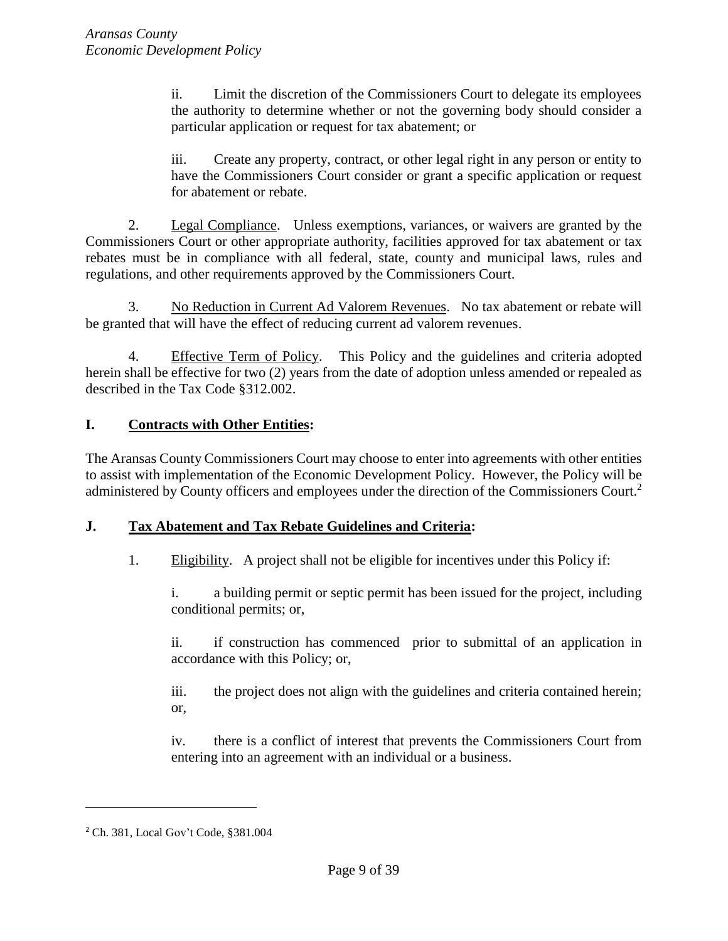ii. Limit the discretion of the Commissioners Court to delegate its employees the authority to determine whether or not the governing body should consider a particular application or request for tax abatement; or

iii. Create any property, contract, or other legal right in any person or entity to have the Commissioners Court consider or grant a specific application or request for abatement or rebate.

2. Legal Compliance. Unless exemptions, variances, or waivers are granted by the Commissioners Court or other appropriate authority, facilities approved for tax abatement or tax rebates must be in compliance with all federal, state, county and municipal laws, rules and regulations, and other requirements approved by the Commissioners Court.

3. No Reduction in Current Ad Valorem Revenues. No tax abatement or rebate will be granted that will have the effect of reducing current ad valorem revenues.

4. Effective Term of Policy. This Policy and the guidelines and criteria adopted herein shall be effective for two (2) years from the date of adoption unless amended or repealed as described in the Tax Code §312.002.

## <span id="page-8-0"></span>**I. Contracts with Other Entities:**

The Aransas County Commissioners Court may choose to enter into agreements with other entities to assist with implementation of the Economic Development Policy. However, the Policy will be administered by County officers and employees under the direction of the Commissioners Court.<sup>2</sup>

## <span id="page-8-1"></span>**J. Tax Abatement and Tax Rebate Guidelines and Criteria:**

1. Eligibility.A project shall not be eligible for incentives under this Policy if:

i. a building permit or septic permit has been issued for the project, including conditional permits; or,

ii. if construction has commenced prior to submittal of an application in accordance with this Policy; or,

iii. the project does not align with the guidelines and criteria contained herein; or,

iv. there is a conflict of interest that prevents the Commissioners Court from entering into an agreement with an individual or a business.

<sup>2</sup> Ch. 381, Local Gov't Code, §381.004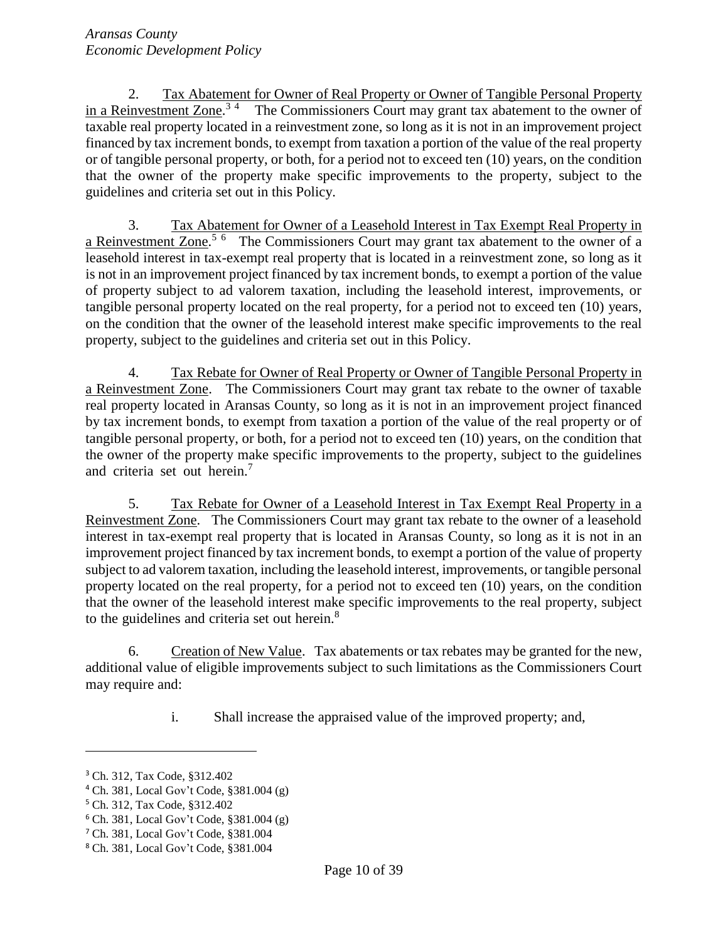2. Tax Abatement for Owner of Real Property or Owner of Tangible Personal Property in a Reinvestment Zone.<sup>34</sup> The Commissioners Court may grant tax abatement to the owner of taxable real property located in a reinvestment zone, so long as it is not in an improvement project financed by tax increment bonds, to exempt from taxation a portion of the value of the real property or of tangible personal property, or both, for a period not to exceed ten (10) years, on the condition that the owner of the property make specific improvements to the property, subject to the guidelines and criteria set out in this Policy.

3. Tax Abatement for Owner of a Leasehold Interest in Tax Exempt Real Property in a Reinvestment Zone.<sup>5 6</sup> The Commissioners Court may grant tax abatement to the owner of a leasehold interest in tax-exempt real property that is located in a reinvestment zone, so long as it is not in an improvement project financed by tax increment bonds, to exempt a portion of the value of property subject to ad valorem taxation, including the leasehold interest, improvements, or tangible personal property located on the real property, for a period not to exceed ten (10) years, on the condition that the owner of the leasehold interest make specific improvements to the real property, subject to the guidelines and criteria set out in this Policy.

4. Tax Rebate for Owner of Real Property or Owner of Tangible Personal Property in a Reinvestment Zone. The Commissioners Court may grant tax rebate to the owner of taxable real property located in Aransas County, so long as it is not in an improvement project financed by tax increment bonds, to exempt from taxation a portion of the value of the real property or of tangible personal property, or both, for a period not to exceed ten (10) years, on the condition that the owner of the property make specific improvements to the property, subject to the guidelines and criteria set out herein.<sup>7</sup>

5. Tax Rebate for Owner of a Leasehold Interest in Tax Exempt Real Property in a Reinvestment Zone. The Commissioners Court may grant tax rebate to the owner of a leasehold interest in tax-exempt real property that is located in Aransas County, so long as it is not in an improvement project financed by tax increment bonds, to exempt a portion of the value of property subject to ad valorem taxation, including the leasehold interest, improvements, or tangible personal property located on the real property, for a period not to exceed ten (10) years, on the condition that the owner of the leasehold interest make specific improvements to the real property, subject to the guidelines and criteria set out herein.<sup>8</sup>

6. Creation of New Value. Tax abatements or tax rebates may be granted for the new, additional value of eligible improvements subject to such limitations as the Commissioners Court may require and:

i. Shall increase the appraised value of the improved property; and,

<sup>3</sup> Ch. 312, Tax Code, §312.402

<sup>4</sup> Ch. 381, Local Gov't Code, §381.004 (g)

<sup>5</sup> Ch. 312, Tax Code, §312.402

<sup>6</sup> Ch. 381, Local Gov't Code, §381.004 (g)

<sup>7</sup> Ch. 381, Local Gov't Code, §381.004

<sup>8</sup> Ch. 381, Local Gov't Code, §381.004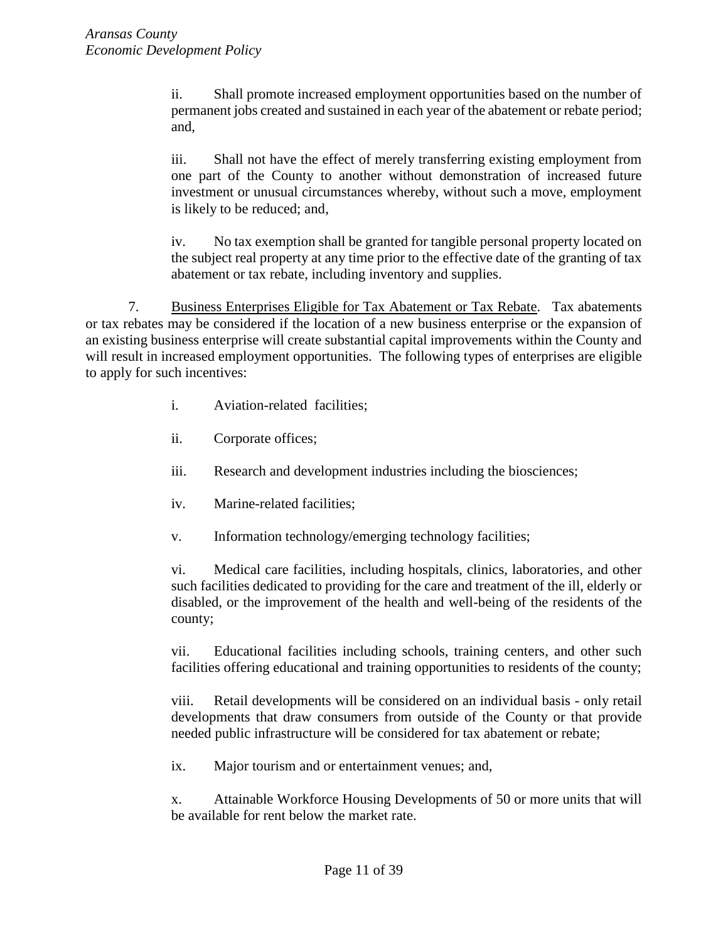ii. Shall promote increased employment opportunities based on the number of permanent jobs created and sustained in each year of the abatement or rebate period; and,

iii. Shall not have the effect of merely transferring existing employment from one part of the County to another without demonstration of increased future investment or unusual circumstances whereby, without such a move, employment is likely to be reduced; and,

iv. No tax exemption shall be granted for tangible personal property located on the subject real property at any time prior to the effective date of the granting of tax abatement or tax rebate, including inventory and supplies.

7. Business Enterprises Eligible for Tax Abatement or Tax Rebate. Tax abatements or tax rebates may be considered if the location of a new business enterprise or the expansion of an existing business enterprise will create substantial capital improvements within the County and will result in increased employment opportunities. The following types of enterprises are eligible to apply for such incentives:

- i. Aviation-related facilities;
- ii. Corporate offices;
- iii. Research and development industries including the biosciences;
- iv. Marine-related facilities;
- v. Information technology/emerging technology facilities;

vi. Medical care facilities, including hospitals, clinics, laboratories, and other such facilities dedicated to providing for the care and treatment of the ill, elderly or disabled, or the improvement of the health and well-being of the residents of the county;

vii. Educational facilities including schools, training centers, and other such facilities offering educational and training opportunities to residents of the county;

viii. Retail developments will be considered on an individual basis - only retail developments that draw consumers from outside of the County or that provide needed public infrastructure will be considered for tax abatement or rebate;

ix. Major tourism and or entertainment venues; and,

x. Attainable Workforce Housing Developments of 50 or more units that will be available for rent below the market rate.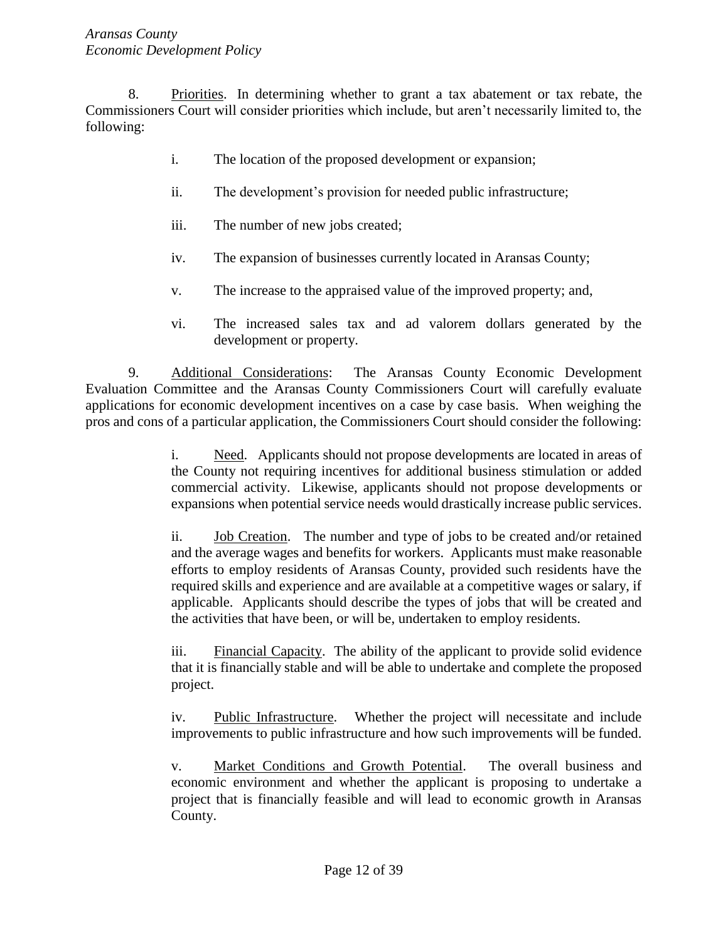8. Priorities. In determining whether to grant a tax abatement or tax rebate, the Commissioners Court will consider priorities which include, but aren't necessarily limited to, the following:

- i. The location of the proposed development or expansion;
- ii. The development's provision for needed public infrastructure;
- iii. The number of new jobs created;
- iv. The expansion of businesses currently located in Aransas County;
- v. The increase to the appraised value of the improved property; and,
- vi. The increased sales tax and ad valorem dollars generated by the development or property.

9. Additional Considerations: The Aransas County Economic Development Evaluation Committee and the Aransas County Commissioners Court will carefully evaluate applications for economic development incentives on a case by case basis. When weighing the pros and cons of a particular application, the Commissioners Court should consider the following:

> i. Need. Applicants should not propose developments are located in areas of the County not requiring incentives for additional business stimulation or added commercial activity. Likewise, applicants should not propose developments or expansions when potential service needs would drastically increase public services.

> ii. Job Creation. The number and type of jobs to be created and/or retained and the average wages and benefits for workers. Applicants must make reasonable efforts to employ residents of Aransas County, provided such residents have the required skills and experience and are available at a competitive wages or salary, if applicable. Applicants should describe the types of jobs that will be created and the activities that have been, or will be, undertaken to employ residents.

> iii. Financial Capacity. The ability of the applicant to provide solid evidence that it is financially stable and will be able to undertake and complete the proposed project.

> iv. Public Infrastructure. Whether the project will necessitate and include improvements to public infrastructure and how such improvements will be funded.

> v. Market Conditions and Growth Potential. The overall business and economic environment and whether the applicant is proposing to undertake a project that is financially feasible and will lead to economic growth in Aransas County.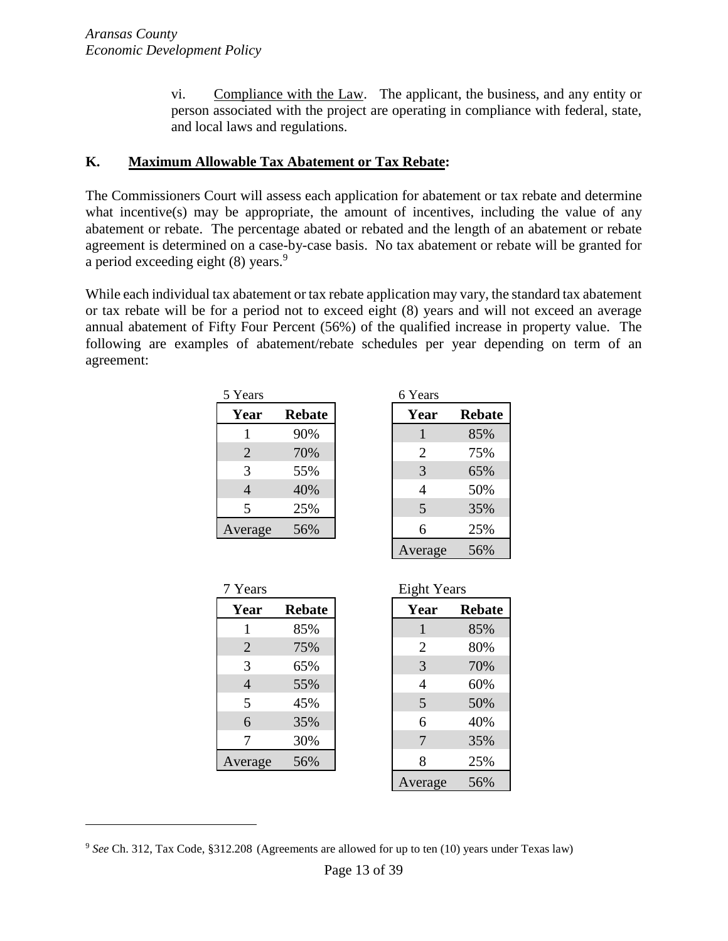vi. Compliance with the Law. The applicant, the business, and any entity or person associated with the project are operating in compliance with federal, state, and local laws and regulations.

#### <span id="page-12-0"></span>**K. Maximum Allowable Tax Abatement or Tax Rebate:**

The Commissioners Court will assess each application for abatement or tax rebate and determine what incentive(s) may be appropriate, the amount of incentives, including the value of any abatement or rebate. The percentage abated or rebated and the length of an abatement or rebate agreement is determined on a case-by-case basis. No tax abatement or rebate will be granted for a period exceeding eight  $(8)$  years.<sup>9</sup>

While each individual tax abatement or tax rebate application may vary, the standard tax abatement or tax rebate will be for a period not to exceed eight (8) years and will not exceed an average annual abatement of Fifty Four Percent (56%) of the qualified increase in property value. The following are examples of abatement/rebate schedules per year depending on term of an agreement:

| 5 Years        |               | 6 Years |       |
|----------------|---------------|---------|-------|
| Year           | <b>Rebate</b> | Year    | Rebat |
|                | 90%           |         | 85%   |
| $\overline{2}$ | 70%           | 2       | 75%   |
| 3              | 55%           | 3       | 65%   |
| $\overline{4}$ | 40%           |         | 50%   |
| 5              | 25%           | 5       | 35%   |
| Average        | 56%           |         | 25%   |

| Years          |               | 6 Years        |               |
|----------------|---------------|----------------|---------------|
| Year           | <b>Rebate</b> | Year           | <b>Rebate</b> |
|                | 90%           |                | 85%           |
| $\overline{2}$ | 70%           | $\overline{2}$ | 75%           |
| 3              | 55%           | 3              | 65%           |
| $\overline{4}$ | 40%           | 4              | 50%           |
| 5              | 25%           | 5              | 35%           |
| verage         | 56%           | 6              | 25%           |
|                |               | Average        | 56%           |

| 7 Years        |               | <b>Eight Years</b> |              |
|----------------|---------------|--------------------|--------------|
| Year           | <b>Rebate</b> | Year               | <b>Rebat</b> |
| 1              | 85%           | 1                  | 85%          |
| $\overline{2}$ | 75%           | $\overline{2}$     | 80%          |
| 3              | 65%           | 3                  | 70%          |
| 4              | 55%           | 4                  | 60%          |
| 5              | 45%           | 5                  | 50%          |
| 6              | 35%           | 6                  | 40%          |
| 7              | 30%           |                    | 35%          |
| Average        | 56%           | 8                  | 25%          |
|                |               |                    | F/N          |

| Years          |               | <b>Eight Years</b> |               |
|----------------|---------------|--------------------|---------------|
| Year           | <b>Rebate</b> | Year               | <b>Rebate</b> |
|                | 85%           |                    | 85%           |
| $\overline{2}$ | 75%           | $\overline{2}$     | 80%           |
| 3              | 65%           | 3                  | 70%           |
| $\overline{4}$ | 55%           | 4                  | 60%           |
| 5              | 45%           | 5                  | 50%           |
| 6              | 35%           | 6                  | 40%           |
| 7              | 30%           | 7                  | 35%           |
| verage         | 56%           | 8                  | 25%           |
|                |               | Average            | 56%           |

<sup>9</sup> *See* Ch. 312, Tax Code, §312.208 (Agreements are allowed for up to ten (10) years under Texas law)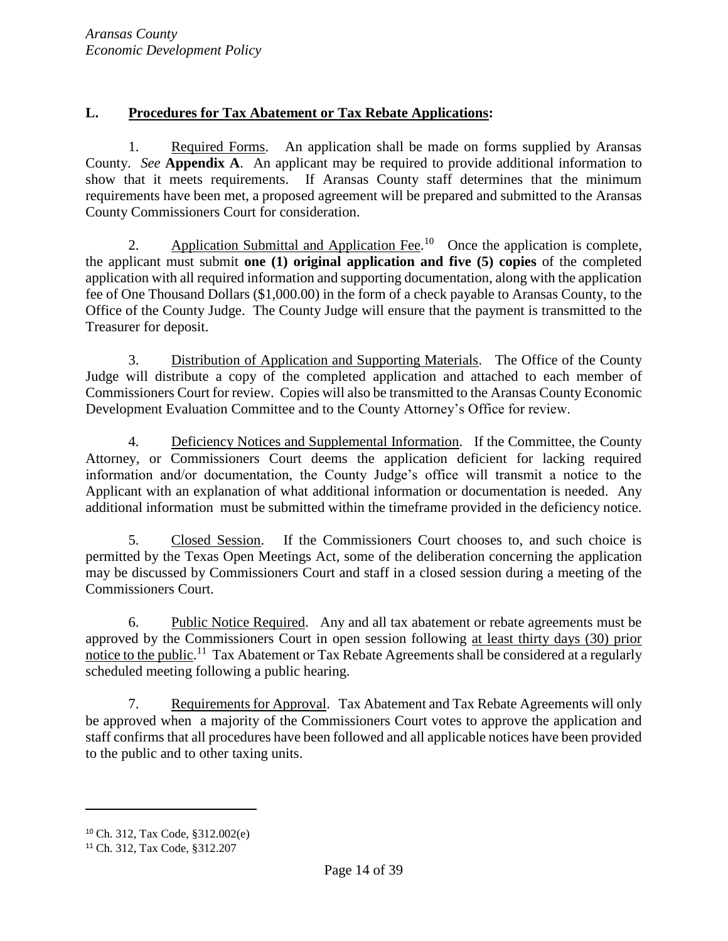## <span id="page-13-0"></span>**L. Procedures for Tax Abatement or Tax Rebate Applications:**

1. Required Forms. An application shall be made on forms supplied by Aransas County. *See* **Appendix A**. An applicant may be required to provide additional information to show that it meets requirements. If Aransas County staff determines that the minimum requirements have been met, a proposed agreement will be prepared and submitted to the Aransas County Commissioners Court for consideration.

2. Application Submittal and Application Fee.<sup>10</sup> Once the application is complete, the applicant must submit **one (1) original application and five (5) copies** of the completed application with all required information and supporting documentation, along with the application fee of One Thousand Dollars (\$1,000.00) in the form of a check payable to Aransas County, to the Office of the County Judge. The County Judge will ensure that the payment is transmitted to the Treasurer for deposit.

3. Distribution of Application and Supporting Materials. The Office of the County Judge will distribute a copy of the completed application and attached to each member of Commissioners Court for review. Copies will also be transmitted to the Aransas County Economic Development Evaluation Committee and to the County Attorney's Office for review.

4. Deficiency Notices and Supplemental Information. If the Committee, the County Attorney, or Commissioners Court deems the application deficient for lacking required information and/or documentation, the County Judge's office will transmit a notice to the Applicant with an explanation of what additional information or documentation is needed. Any additional information must be submitted within the timeframe provided in the deficiency notice.

5. Closed Session. If the Commissioners Court chooses to, and such choice is permitted by the Texas Open Meetings Act, some of the deliberation concerning the application may be discussed by Commissioners Court and staff in a closed session during a meeting of the Commissioners Court.

6. Public Notice Required. Any and all tax abatement or rebate agreements must be approved by the Commissioners Court in open session following at least thirty days (30) prior notice to the public.<sup>11</sup> Tax Abatement or Tax Rebate Agreements shall be considered at a regularly scheduled meeting following a public hearing.

7. Requirements for Approval. Tax Abatement and Tax Rebate Agreements will only be approved when a majority of the Commissioners Court votes to approve the application and staff confirms that all procedures have been followed and all applicable notices have been provided to the public and to other taxing units.

 $\overline{a}$ 

<sup>10</sup> Ch. 312, Tax Code, §312.002(e)

<sup>11</sup> Ch. 312, Tax Code, §312.207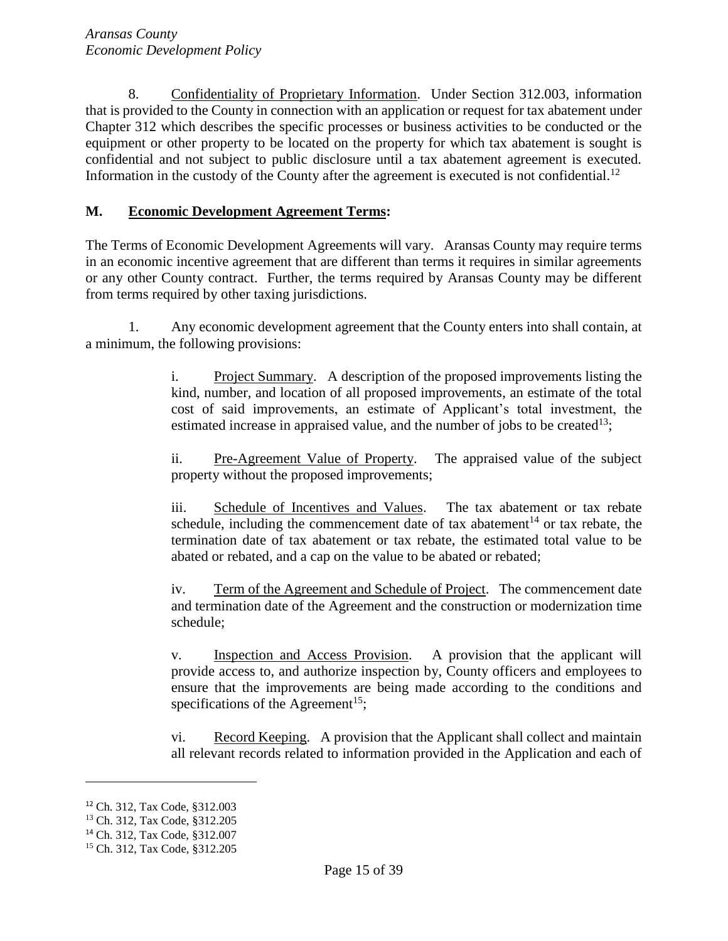8. Confidentiality of Proprietary Information. Under Section 312.003, information that is provided to the County in connection with an application or request for tax abatement under Chapter 312 which describes the specific processes or business activities to be conducted or the equipment or other property to be located on the property for which tax abatement is sought is confidential and not subject to public disclosure until a tax abatement agreement is executed. Information in the custody of the County after the agreement is executed is not confidential.<sup>12</sup>

### <span id="page-14-0"></span>**M. Economic Development Agreement Terms:**

The Terms of Economic Development Agreements will vary. Aransas County may require terms in an economic incentive agreement that are different than terms it requires in similar agreements or any other County contract. Further, the terms required by Aransas County may be different from terms required by other taxing jurisdictions.

1. Any economic development agreement that the County enters into shall contain, at a minimum, the following provisions:

> i. Project Summary. A description of the proposed improvements listing the kind, number, and location of all proposed improvements, an estimate of the total cost of said improvements, an estimate of Applicant's total investment, the estimated increase in appraised value, and the number of jobs to be created<sup>13</sup>;

> ii. Pre-Agreement Value of Property. The appraised value of the subject property without the proposed improvements;

> iii. Schedule of Incentives and Values. The tax abatement or tax rebate schedule, including the commencement date of tax abatement<sup>14</sup> or tax rebate, the termination date of tax abatement or tax rebate, the estimated total value to be abated or rebated, and a cap on the value to be abated or rebated;

> iv. Term of the Agreement and Schedule of Project. The commencement date and termination date of the Agreement and the construction or modernization time schedule;

> v. Inspection and Access Provision. A provision that the applicant will provide access to, and authorize inspection by, County officers and employees to ensure that the improvements are being made according to the conditions and specifications of the Agreement<sup>15</sup>;

> vi. Record Keeping. A provision that the Applicant shall collect and maintain all relevant records related to information provided in the Application and each of

<sup>12</sup> Ch. 312, Tax Code, §312.003

<sup>13</sup> Ch. 312, Tax Code, §312.205

<sup>14</sup> Ch. 312, Tax Code, §312.007

<sup>15</sup> Ch. 312, Tax Code, §312.205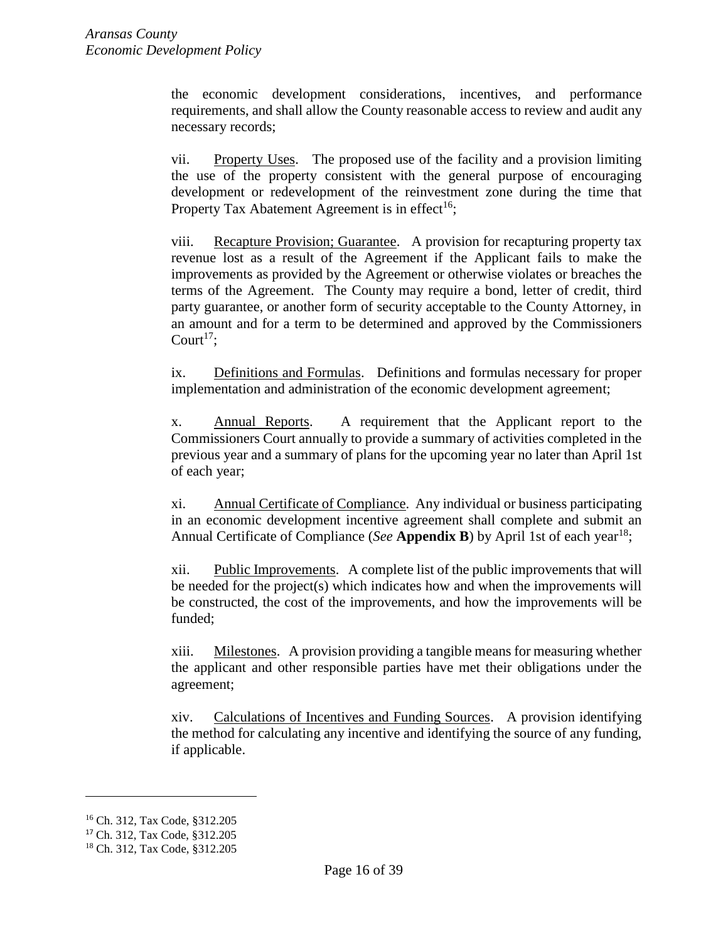the economic development considerations, incentives, and performance requirements, and shall allow the County reasonable access to review and audit any necessary records;

vii. Property Uses. The proposed use of the facility and a provision limiting the use of the property consistent with the general purpose of encouraging development or redevelopment of the reinvestment zone during the time that Property Tax Abatement Agreement is in effect<sup>16</sup>;

viii. Recapture Provision; Guarantee. A provision for recapturing property tax revenue lost as a result of the Agreement if the Applicant fails to make the improvements as provided by the Agreement or otherwise violates or breaches the terms of the Agreement. The County may require a bond, letter of credit, third party guarantee, or another form of security acceptable to the County Attorney, in an amount and for a term to be determined and approved by the Commissioners Court<sup>17</sup>;

ix. Definitions and Formulas. Definitions and formulas necessary for proper implementation and administration of the economic development agreement;

x. Annual Reports. A requirement that the Applicant report to the Commissioners Court annually to provide a summary of activities completed in the previous year and a summary of plans for the upcoming year no later than April 1st of each year;

xi. Annual Certificate of Compliance. Any individual or business participating in an economic development incentive agreement shall complete and submit an Annual Certificate of Compliance (*See* **Appendix B**) by April 1st of each year<sup>18</sup>;

xii. Public Improvements. A complete list of the public improvements that will be needed for the project(s) which indicates how and when the improvements will be constructed, the cost of the improvements, and how the improvements will be funded;

xiii. Milestones. A provision providing a tangible means for measuring whether the applicant and other responsible parties have met their obligations under the agreement;

xiv. Calculations of Incentives and Funding Sources. A provision identifying the method for calculating any incentive and identifying the source of any funding, if applicable.

 $\overline{a}$ 

<sup>16</sup> Ch. 312, Tax Code, §312.205

<sup>17</sup> Ch. 312, Tax Code, §312.205

<sup>18</sup> Ch. 312, Tax Code, §312.205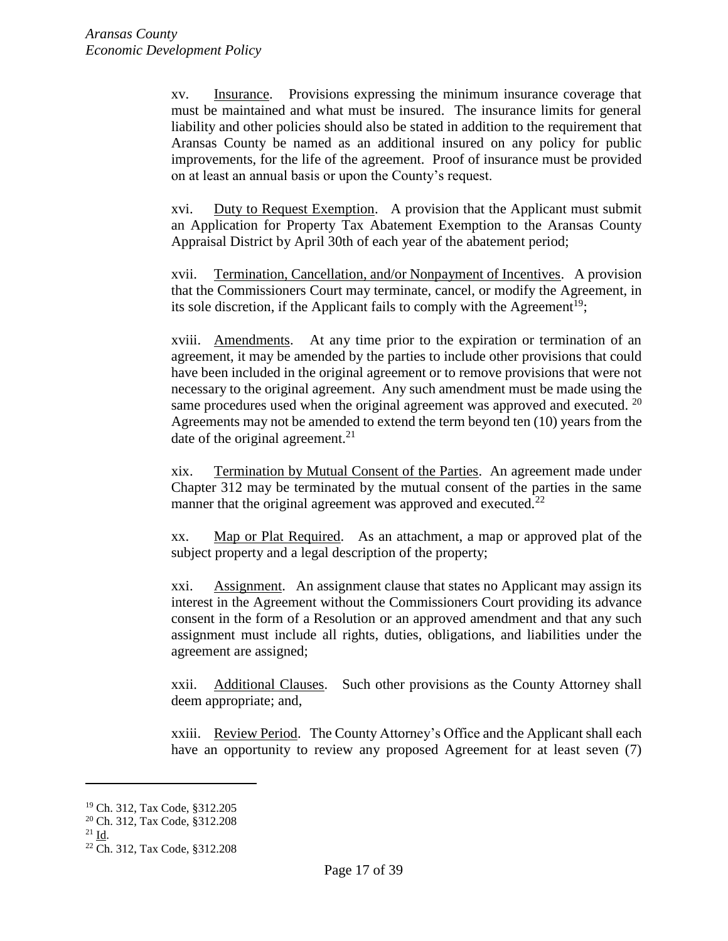xv. Insurance. Provisions expressing the minimum insurance coverage that must be maintained and what must be insured. The insurance limits for general liability and other policies should also be stated in addition to the requirement that Aransas County be named as an additional insured on any policy for public improvements, for the life of the agreement. Proof of insurance must be provided on at least an annual basis or upon the County's request.

xvi. Duty to Request Exemption. A provision that the Applicant must submit an Application for Property Tax Abatement Exemption to the Aransas County Appraisal District by April 30th of each year of the abatement period;

xvii. Termination, Cancellation, and/or Nonpayment of Incentives. A provision that the Commissioners Court may terminate, cancel, or modify the Agreement, in its sole discretion, if the Applicant fails to comply with the Agreement<sup>19</sup>;

xviii. Amendments. At any time prior to the expiration or termination of an agreement, it may be amended by the parties to include other provisions that could have been included in the original agreement or to remove provisions that were not necessary to the original agreement. Any such amendment must be made using the same procedures used when the original agreement was approved and executed. <sup>20</sup> Agreements may not be amended to extend the term beyond ten (10) years from the date of the original agreement. $^{21}$ 

xix. Termination by Mutual Consent of the Parties. An agreement made under Chapter 312 may be terminated by the mutual consent of the parties in the same manner that the original agreement was approved and executed.<sup>22</sup>

xx. Map or Plat Required. As an attachment, a map or approved plat of the subject property and a legal description of the property;

xxi. Assignment. An assignment clause that states no Applicant may assign its interest in the Agreement without the Commissioners Court providing its advance consent in the form of a Resolution or an approved amendment and that any such assignment must include all rights, duties, obligations, and liabilities under the agreement are assigned;

xxii. Additional Clauses. Such other provisions as the County Attorney shall deem appropriate; and,

xxiii. Review Period. The County Attorney's Office and the Applicant shall each have an opportunity to review any proposed Agreement for at least seven (7)

l

<sup>19</sup> Ch. 312, Tax Code, §312.205

<sup>20</sup> Ch. 312, Tax Code, §312.208

 $^{21}$  Id.

<sup>22</sup> Ch. 312, Tax Code, §312.208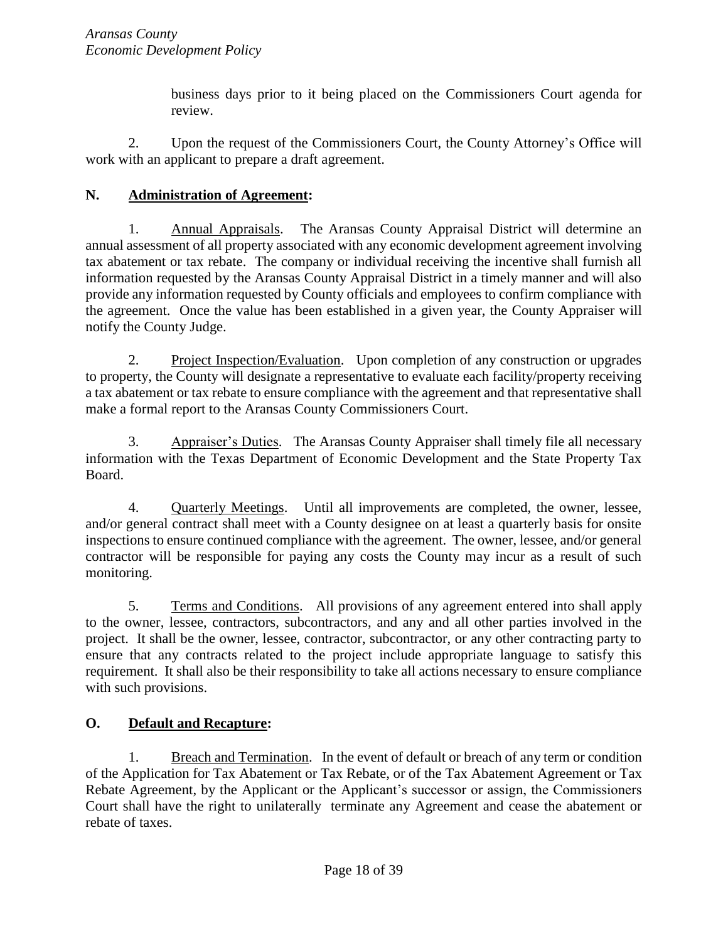business days prior to it being placed on the Commissioners Court agenda for review.

2. Upon the request of the Commissioners Court, the County Attorney's Office will work with an applicant to prepare a draft agreement.

## <span id="page-17-0"></span>**N. Administration of Agreement:**

1. Annual Appraisals. The Aransas County Appraisal District will determine an annual assessment of all property associated with any economic development agreement involving tax abatement or tax rebate. The company or individual receiving the incentive shall furnish all information requested by the Aransas County Appraisal District in a timely manner and will also provide any information requested by County officials and employees to confirm compliance with the agreement. Once the value has been established in a given year, the County Appraiser will notify the County Judge.

2. Project Inspection/Evaluation. Upon completion of any construction or upgrades to property, the County will designate a representative to evaluate each facility/property receiving a tax abatement or tax rebate to ensure compliance with the agreement and that representative shall make a formal report to the Aransas County Commissioners Court.

3. Appraiser's Duties. The Aransas County Appraiser shall timely file all necessary information with the Texas Department of Economic Development and the State Property Tax Board.

4. Quarterly Meetings. Until all improvements are completed, the owner, lessee, and/or general contract shall meet with a County designee on at least a quarterly basis for onsite inspections to ensure continued compliance with the agreement. The owner, lessee, and/or general contractor will be responsible for paying any costs the County may incur as a result of such monitoring.

5. Terms and Conditions. All provisions of any agreement entered into shall apply to the owner, lessee, contractors, subcontractors, and any and all other parties involved in the project. It shall be the owner, lessee, contractor, subcontractor, or any other contracting party to ensure that any contracts related to the project include appropriate language to satisfy this requirement. It shall also be their responsibility to take all actions necessary to ensure compliance with such provisions.

## <span id="page-17-1"></span>**O. Default and Recapture:**

1. Breach and Termination. In the event of default or breach of any term or condition of the Application for Tax Abatement or Tax Rebate, or of the Tax Abatement Agreement or Tax Rebate Agreement, by the Applicant or the Applicant's successor or assign, the Commissioners Court shall have the right to unilaterally terminate any Agreement and cease the abatement or rebate of taxes.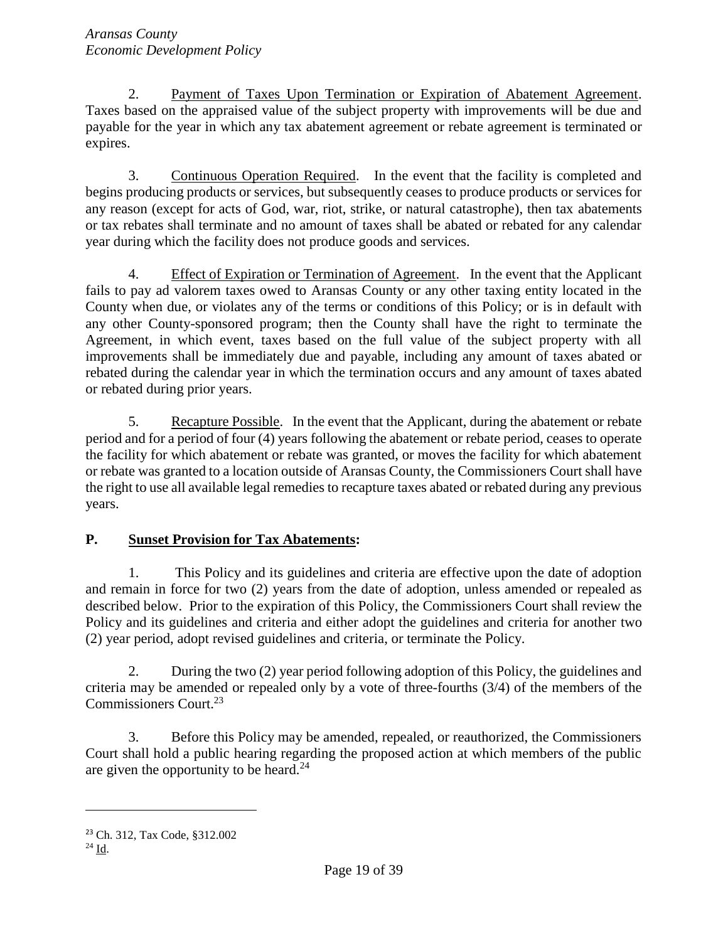2. Payment of Taxes Upon Termination or Expiration of Abatement Agreement. Taxes based on the appraised value of the subject property with improvements will be due and payable for the year in which any tax abatement agreement or rebate agreement is terminated or expires.

3. Continuous Operation Required. In the event that the facility is completed and begins producing products or services, but subsequently ceases to produce products or services for any reason (except for acts of God, war, riot, strike, or natural catastrophe), then tax abatements or tax rebates shall terminate and no amount of taxes shall be abated or rebated for any calendar year during which the facility does not produce goods and services.

4. Effect of Expiration or Termination of Agreement. In the event that the Applicant fails to pay ad valorem taxes owed to Aransas County or any other taxing entity located in the County when due, or violates any of the terms or conditions of this Policy; or is in default with any other County-sponsored program; then the County shall have the right to terminate the Agreement, in which event, taxes based on the full value of the subject property with all improvements shall be immediately due and payable, including any amount of taxes abated or rebated during the calendar year in which the termination occurs and any amount of taxes abated or rebated during prior years.

5. Recapture Possible. In the event that the Applicant, during the abatement or rebate period and for a period of four (4) years following the abatement or rebate period, ceases to operate the facility for which abatement or rebate was granted, or moves the facility for which abatement or rebate was granted to a location outside of Aransas County, the Commissioners Court shall have the right to use all available legal remedies to recapture taxes abated or rebated during any previous years.

## <span id="page-18-0"></span>**P. Sunset Provision for Tax Abatements:**

1. This Policy and its guidelines and criteria are effective upon the date of adoption and remain in force for two (2) years from the date of adoption, unless amended or repealed as described below. Prior to the expiration of this Policy, the Commissioners Court shall review the Policy and its guidelines and criteria and either adopt the guidelines and criteria for another two (2) year period, adopt revised guidelines and criteria, or terminate the Policy.

2. During the two (2) year period following adoption of this Policy, the guidelines and criteria may be amended or repealed only by a vote of three-fourths (3/4) of the members of the Commissioners Court.<sup>23</sup>

3. Before this Policy may be amended, repealed, or reauthorized, the Commissioners Court shall hold a public hearing regarding the proposed action at which members of the public are given the opportunity to be heard.<sup>24</sup>

<sup>23</sup> Ch. 312, Tax Code, §312.002

<sup>24</sup> Id.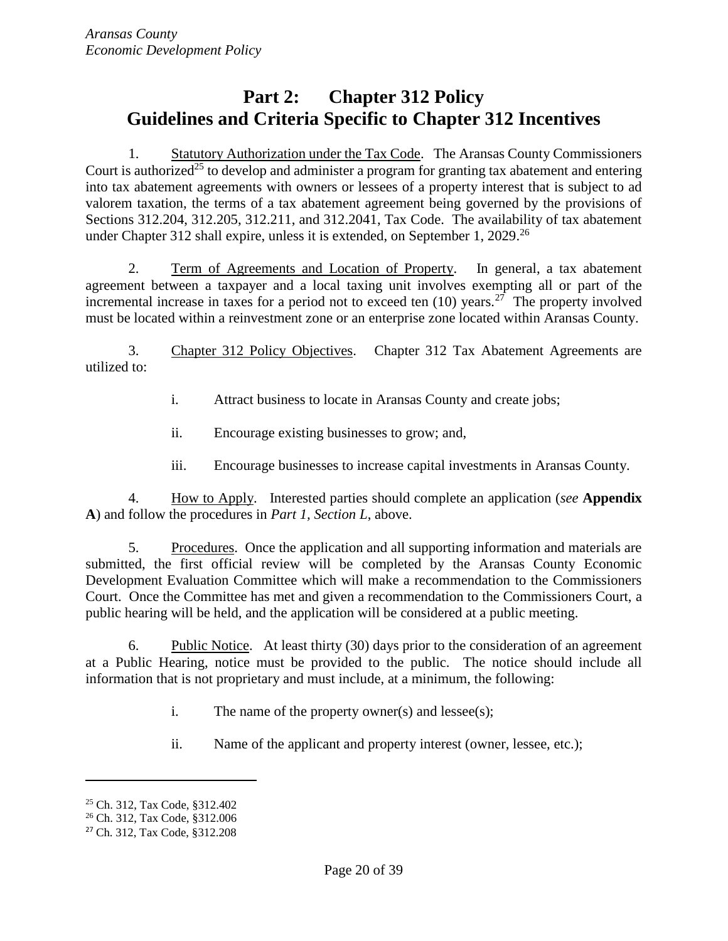# <span id="page-19-0"></span>**Part 2: Chapter 312 Policy Guidelines and Criteria Specific to Chapter 312 Incentives**

1. Statutory Authorization under the Tax Code. The Aransas County Commissioners Court is authorized<sup>25</sup> to develop and administer a program for granting tax abatement and entering into tax abatement agreements with owners or lessees of a property interest that is subject to ad valorem taxation, the terms of a tax abatement agreement being governed by the provisions of Sections 312.204, 312.205, 312.211, and 312.2041, Tax Code. The availability of tax abatement under Chapter 312 shall expire, unless it is extended, on September 1, 2029.<sup>26</sup>

2. Term of Agreements and Location of Property. In general, a tax abatement agreement between a taxpayer and a local taxing unit involves exempting all or part of the incremental increase in taxes for a period not to exceed ten  $(10)$  years.<sup>27</sup> The property involved must be located within a reinvestment zone or an enterprise zone located within Aransas County.

3. Chapter 312 Policy Objectives. Chapter 312 Tax Abatement Agreements are utilized to:

- i. Attract business to locate in Aransas County and create jobs;
- ii. Encourage existing businesses to grow; and,
- iii. Encourage businesses to increase capital investments in Aransas County.

4. How to Apply. Interested parties should complete an application (*see* **Appendix A**) and follow the procedures in *Part 1, Section L*, above.

5. Procedures. Once the application and all supporting information and materials are submitted, the first official review will be completed by the Aransas County Economic Development Evaluation Committee which will make a recommendation to the Commissioners Court. Once the Committee has met and given a recommendation to the Commissioners Court, a public hearing will be held, and the application will be considered at a public meeting.

6. Public Notice. At least thirty (30) days prior to the consideration of an agreement at a Public Hearing, notice must be provided to the public. The notice should include all information that is not proprietary and must include, at a minimum, the following:

- i. The name of the property owner(s) and lessee(s);
- ii. Name of the applicant and property interest (owner, lessee, etc.);

l

<sup>25</sup> Ch. 312, Tax Code, §312.402

<sup>26</sup> Ch. 312, Tax Code, §312.006

<sup>27</sup> Ch. 312, Tax Code, §312.208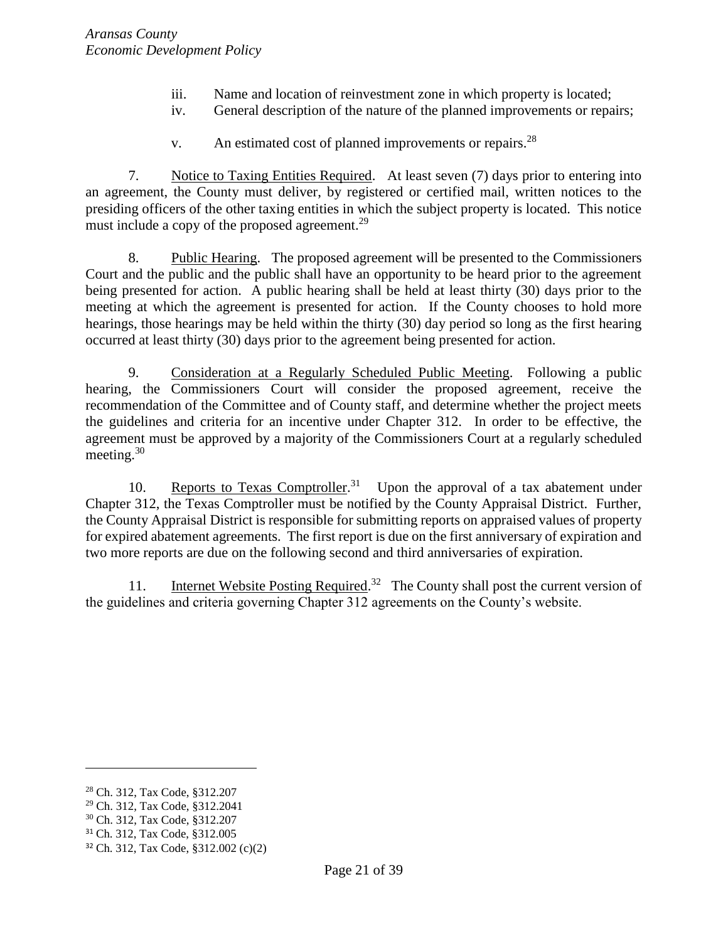- iii. Name and location of reinvestment zone in which property is located;
- iv. General description of the nature of the planned improvements or repairs;
- v. An estimated cost of planned improvements or repairs.<sup>28</sup>

7. Notice to Taxing Entities Required. At least seven (7) days prior to entering into an agreement, the County must deliver, by registered or certified mail, written notices to the presiding officers of the other taxing entities in which the subject property is located. This notice must include a copy of the proposed agreement.<sup>29</sup>

8. Public Hearing. The proposed agreement will be presented to the Commissioners Court and the public and the public shall have an opportunity to be heard prior to the agreement being presented for action. A public hearing shall be held at least thirty (30) days prior to the meeting at which the agreement is presented for action. If the County chooses to hold more hearings, those hearings may be held within the thirty (30) day period so long as the first hearing occurred at least thirty (30) days prior to the agreement being presented for action.

9. Consideration at a Regularly Scheduled Public Meeting. Following a public hearing, the Commissioners Court will consider the proposed agreement, receive the recommendation of the Committee and of County staff, and determine whether the project meets the guidelines and criteria for an incentive under Chapter 312. In order to be effective, the agreement must be approved by a majority of the Commissioners Court at a regularly scheduled meeting.<sup>30</sup>

10. Reports to Texas Comptroller.<sup>31</sup> Upon the approval of a tax abatement under Chapter 312, the Texas Comptroller must be notified by the County Appraisal District. Further, the County Appraisal District is responsible for submitting reports on appraised values of property for expired abatement agreements. The first report is due on the first anniversary of expiration and two more reports are due on the following second and third anniversaries of expiration.

11. Internet Website Posting Required.<sup>32</sup> The County shall post the current version of the guidelines and criteria governing Chapter 312 agreements on the County's website.

 $\overline{a}$ 

<sup>28</sup> Ch. 312, Tax Code, §312.207

<sup>29</sup> Ch. 312, Tax Code, §312.2041

<sup>30</sup> Ch. 312, Tax Code, §312.207

<sup>31</sup> Ch. 312, Tax Code, §312.005

<sup>32</sup> Ch. 312, Tax Code, §312.002 (c)(2)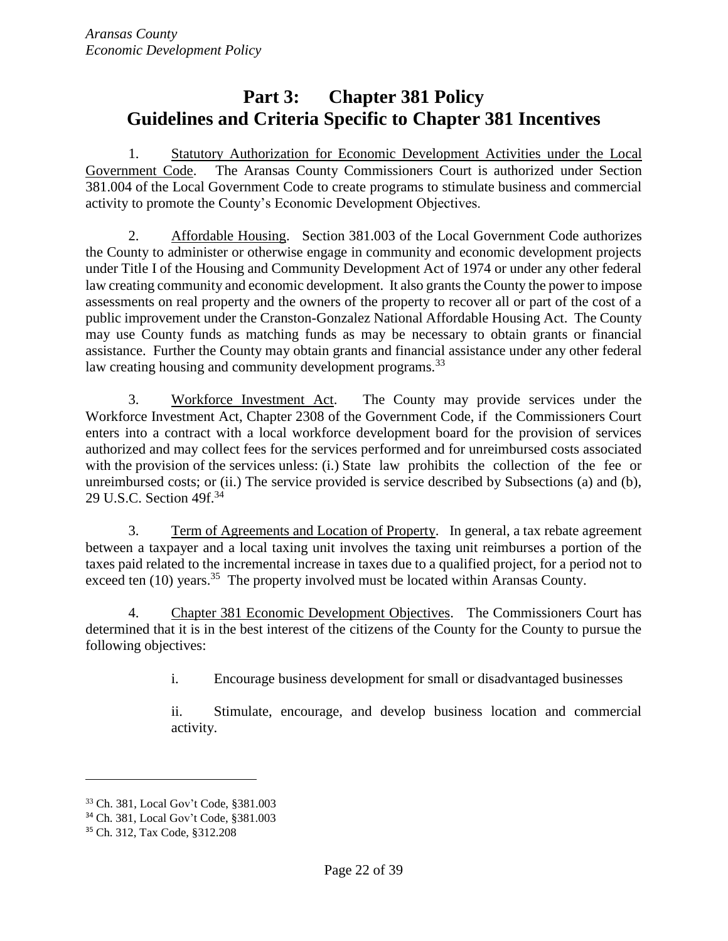# <span id="page-21-0"></span>**Part 3: Chapter 381 Policy Guidelines and Criteria Specific to Chapter 381 Incentives**

1. Statutory Authorization for Economic Development Activities under the Local Government Code. The Aransas County Commissioners Court is authorized under Section 381.004 of the Local Government Code to create programs to stimulate business and commercial activity to promote the County's Economic Development Objectives.

2. Affordable Housing. Section 381.003 of the Local Government Code authorizes the County to administer or otherwise engage in community and economic development projects under Title I of the Housing and Community Development Act of 1974 or under any other federal law creating community and economic development. It also grants the County the power to impose assessments on real property and the owners of the property to recover all or part of the cost of a public improvement under the Cranston-Gonzalez National Affordable Housing Act. The County may use County funds as matching funds as may be necessary to obtain grants or financial assistance. Further the County may obtain grants and financial assistance under any other federal law creating housing and community development programs.<sup>33</sup>

3. Workforce Investment Act. The County may provide services under the Workforce Investment Act, Chapter 2308 of the Government Code, if the Commissioners Court enters into a contract with a local workforce development board for the provision of services authorized and may collect fees for the services performed and for unreimbursed costs associated with the provision of the services unless: (i.) State law prohibits the collection of the fee or unreimbursed costs; or (ii.) The service provided is service described by Subsections (a) and (b), 29 U.S.C. Section 49f.<sup>34</sup>

3. Term of Agreements and Location of Property. In general, a tax rebate agreement between a taxpayer and a local taxing unit involves the taxing unit reimburses a portion of the taxes paid related to the incremental increase in taxes due to a qualified project, for a period not to exceed ten (10) years.<sup>35</sup> The property involved must be located within Aransas County.

4. Chapter 381 Economic Development Objectives. The Commissioners Court has determined that it is in the best interest of the citizens of the County for the County to pursue the following objectives:

i. Encourage business development for small or disadvantaged businesses

ii. Stimulate, encourage, and develop business location and commercial activity.

<sup>33</sup> Ch. 381, Local Gov't Code, §381.003

<sup>34</sup> Ch. 381, Local Gov't Code, §381.003

<sup>35</sup> Ch. 312, Tax Code, §312.208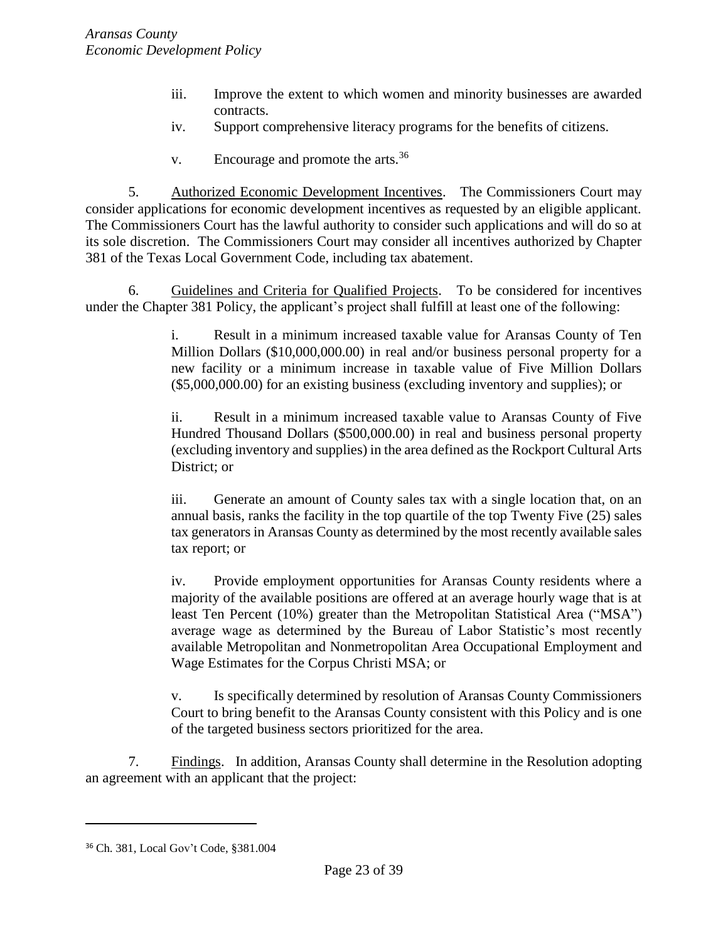- iii. Improve the extent to which women and minority businesses are awarded contracts.
- iv. Support comprehensive literacy programs for the benefits of citizens.
- v. Encourage and promote the arts.<sup>36</sup>

5. Authorized Economic Development Incentives. The Commissioners Court may consider applications for economic development incentives as requested by an eligible applicant. The Commissioners Court has the lawful authority to consider such applications and will do so at its sole discretion. The Commissioners Court may consider all incentives authorized by Chapter 381 of the Texas Local Government Code, including tax abatement.

6. Guidelines and Criteria for Qualified Projects. To be considered for incentives under the Chapter 381 Policy, the applicant's project shall fulfill at least one of the following:

> i. Result in a minimum increased taxable value for Aransas County of Ten Million Dollars (\$10,000,000.00) in real and/or business personal property for a new facility or a minimum increase in taxable value of Five Million Dollars (\$5,000,000.00) for an existing business (excluding inventory and supplies); or

> ii. Result in a minimum increased taxable value to Aransas County of Five Hundred Thousand Dollars (\$500,000.00) in real and business personal property (excluding inventory and supplies) in the area defined as the Rockport Cultural Arts District; or

> iii. Generate an amount of County sales tax with a single location that, on an annual basis, ranks the facility in the top quartile of the top Twenty Five (25) sales tax generators in Aransas County as determined by the most recently available sales tax report; or

> iv. Provide employment opportunities for Aransas County residents where a majority of the available positions are offered at an average hourly wage that is at least Ten Percent (10%) greater than the Metropolitan Statistical Area ("MSA") average wage as determined by the Bureau of Labor Statistic's most recently available Metropolitan and Nonmetropolitan Area Occupational Employment and Wage Estimates for the Corpus Christi MSA; or

> v. Is specifically determined by resolution of Aransas County Commissioners Court to bring benefit to the Aransas County consistent with this Policy and is one of the targeted business sectors prioritized for the area.

7. Findings. In addition, Aransas County shall determine in the Resolution adopting an agreement with an applicant that the project:

<sup>36</sup> Ch. 381, Local Gov't Code, §381.004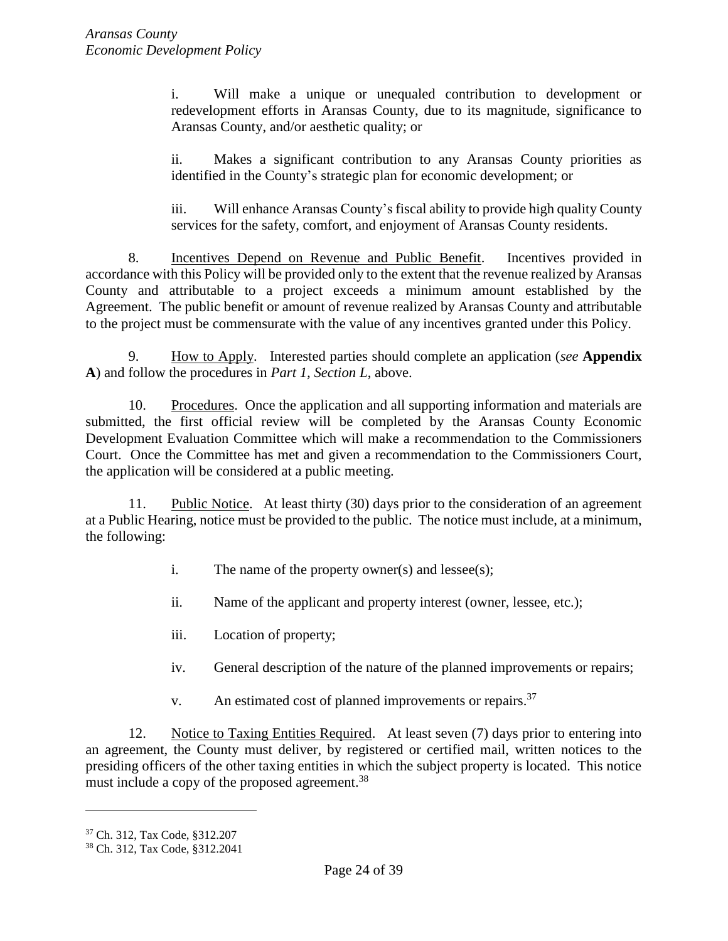i. Will make a unique or unequaled contribution to development or redevelopment efforts in Aransas County, due to its magnitude, significance to Aransas County, and/or aesthetic quality; or

ii. Makes a significant contribution to any Aransas County priorities as identified in the County's strategic plan for economic development; or

iii. Will enhance Aransas County's fiscal ability to provide high quality County services for the safety, comfort, and enjoyment of Aransas County residents.

8. Incentives Depend on Revenue and Public Benefit. Incentives provided in accordance with this Policy will be provided only to the extent that the revenue realized by Aransas County and attributable to a project exceeds a minimum amount established by the Agreement. The public benefit or amount of revenue realized by Aransas County and attributable to the project must be commensurate with the value of any incentives granted under this Policy.

<span id="page-23-0"></span>9. How to Apply. Interested parties should complete an application (*see* **Appendix A**) and follow the procedures in *Part 1, Section L*, above.

10. Procedures. Once the application and all supporting information and materials are submitted, the first official review will be completed by the Aransas County Economic Development Evaluation Committee which will make a recommendation to the Commissioners Court. Once the Committee has met and given a recommendation to the Commissioners Court, the application will be considered at a public meeting.

11. Public Notice. At least thirty (30) days prior to the consideration of an agreement at a Public Hearing, notice must be provided to the public. The notice must include, at a minimum, the following:

i. The name of the property owner(s) and lessee(s);

ii. Name of the applicant and property interest (owner, lessee, etc.);

- iii. Location of property;
- iv. General description of the nature of the planned improvements or repairs;
- v. An estimated cost of planned improvements or repairs.  $37$

12. Notice to Taxing Entities Required. At least seven (7) days prior to entering into an agreement, the County must deliver, by registered or certified mail, written notices to the presiding officers of the other taxing entities in which the subject property is located. This notice must include a copy of the proposed agreement.<sup>38</sup>

<sup>37</sup> Ch. 312, Tax Code, §312.207

<sup>38</sup> Ch. 312, Tax Code, §312.2041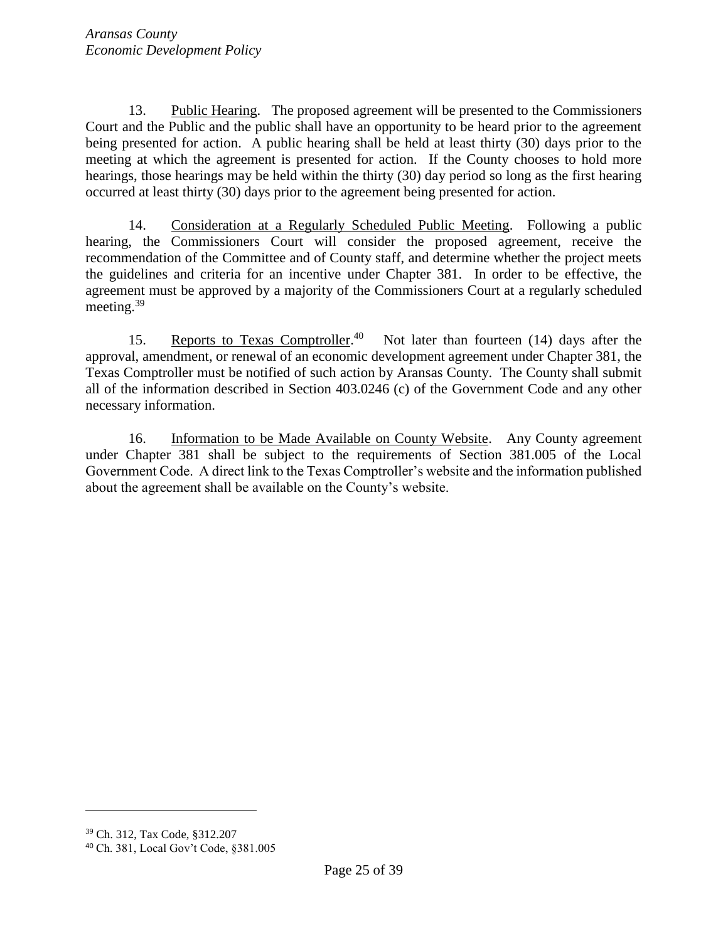13. Public Hearing. The proposed agreement will be presented to the Commissioners Court and the Public and the public shall have an opportunity to be heard prior to the agreement being presented for action. A public hearing shall be held at least thirty (30) days prior to the meeting at which the agreement is presented for action. If the County chooses to hold more hearings, those hearings may be held within the thirty (30) day period so long as the first hearing occurred at least thirty (30) days prior to the agreement being presented for action.

14. Consideration at a Regularly Scheduled Public Meeting. Following a public hearing, the Commissioners Court will consider the proposed agreement, receive the recommendation of the Committee and of County staff, and determine whether the project meets the guidelines and criteria for an incentive under Chapter 381. In order to be effective, the agreement must be approved by a majority of the Commissioners Court at a regularly scheduled meeting.<sup>39</sup>

15. Reports to Texas Comptroller.<sup>40</sup> Not later than fourteen (14) days after the approval, amendment, or renewal of an economic development agreement under Chapter 381, the Texas Comptroller must be notified of such action by Aransas County. The County shall submit all of the information described in Section 403.0246 (c) of the Government Code and any other necessary information.

16. Information to be Made Available on County Website. Any County agreement under Chapter 381 shall be subject to the requirements of Section 381.005 of the Local Government Code. A direct link to the Texas Comptroller's website and the information published about the agreement shall be available on the County's website.

<sup>39</sup> Ch. 312, Tax Code, §312.207

<sup>40</sup> Ch. 381, Local Gov't Code, §381.005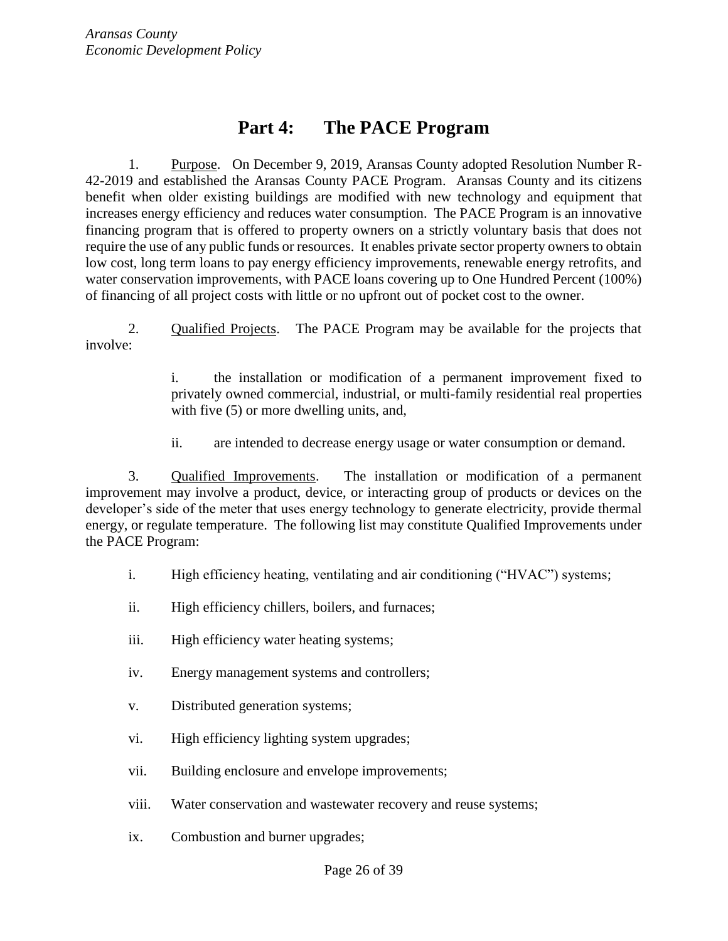## **Part 4: The PACE Program**

1. Purpose. On December 9, 2019, Aransas County adopted Resolution Number R-42-2019 and established the Aransas County PACE Program. Aransas County and its citizens benefit when older existing buildings are modified with new technology and equipment that increases energy efficiency and reduces water consumption. The PACE Program is an innovative financing program that is offered to property owners on a strictly voluntary basis that does not require the use of any public funds or resources. It enables private sector property owners to obtain low cost, long term loans to pay energy efficiency improvements, renewable energy retrofits, and water conservation improvements, with PACE loans covering up to One Hundred Percent (100%) of financing of all project costs with little or no upfront out of pocket cost to the owner.

2. Qualified Projects. The PACE Program may be available for the projects that involve:

> i. the installation or modification of a permanent improvement fixed to privately owned commercial, industrial, or multi-family residential real properties with five  $(5)$  or more dwelling units, and,

ii. are intended to decrease energy usage or water consumption or demand.

3. Qualified Improvements. The installation or modification of a permanent improvement may involve a product, device, or interacting group of products or devices on the developer's side of the meter that uses energy technology to generate electricity, provide thermal energy, or regulate temperature. The following list may constitute Qualified Improvements under the PACE Program:

- i. High efficiency heating, ventilating and air conditioning ("HVAC") systems;
- ii. High efficiency chillers, boilers, and furnaces;
- iii. High efficiency water heating systems;
- iv. Energy management systems and controllers;
- v. Distributed generation systems;
- vi. High efficiency lighting system upgrades;
- vii. Building enclosure and envelope improvements;
- viii. Water conservation and wastewater recovery and reuse systems;
- ix. Combustion and burner upgrades;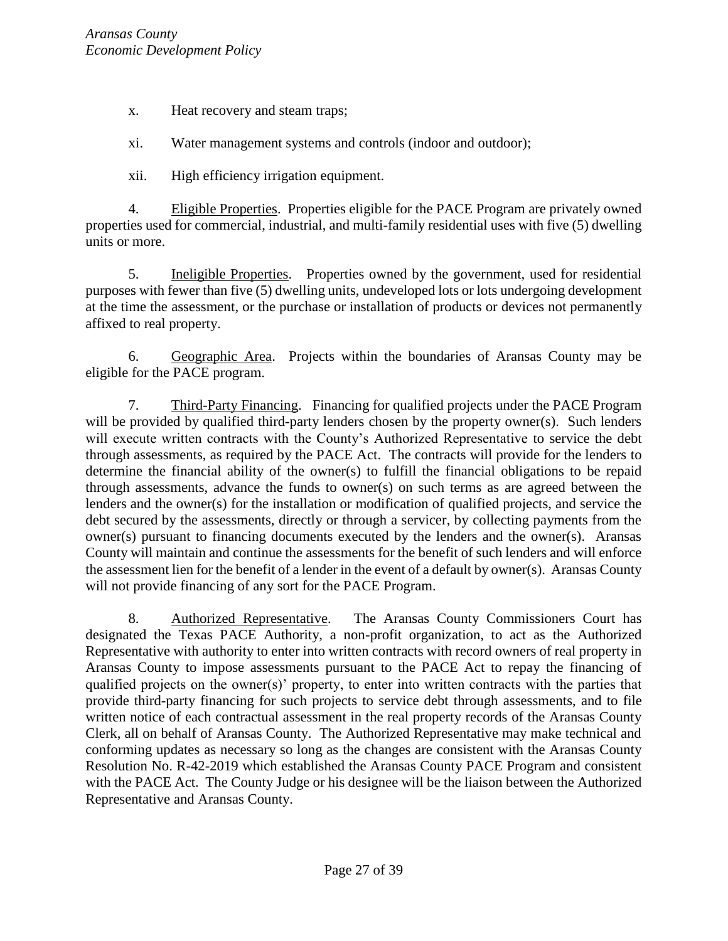x. Heat recovery and steam traps;

xi. Water management systems and controls (indoor and outdoor);

xii. High efficiency irrigation equipment.

4. Eligible Properties. Properties eligible for the PACE Program are privately owned properties used for commercial, industrial, and multi-family residential uses with five (5) dwelling units or more.

5. Ineligible Properties. Properties owned by the government, used for residential purposes with fewer than five (5) dwelling units, undeveloped lots or lots undergoing development at the time the assessment, or the purchase or installation of products or devices not permanently affixed to real property.

6. Geographic Area. Projects within the boundaries of Aransas County may be eligible for the PACE program.

7. Third-Party Financing. Financing for qualified projects under the PACE Program will be provided by qualified third-party lenders chosen by the property owner(s). Such lenders will execute written contracts with the County's Authorized Representative to service the debt through assessments, as required by the PACE Act. The contracts will provide for the lenders to determine the financial ability of the owner(s) to fulfill the financial obligations to be repaid through assessments, advance the funds to owner(s) on such terms as are agreed between the lenders and the owner(s) for the installation or modification of qualified projects, and service the debt secured by the assessments, directly or through a servicer, by collecting payments from the owner(s) pursuant to financing documents executed by the lenders and the owner(s). Aransas County will maintain and continue the assessments for the benefit of such lenders and will enforce the assessment lien for the benefit of a lender in the event of a default by owner(s). Aransas County will not provide financing of any sort for the PACE Program.

8. Authorized Representative. The Aransas County Commissioners Court has designated the Texas PACE Authority, a non-profit organization, to act as the Authorized Representative with authority to enter into written contracts with record owners of real property in Aransas County to impose assessments pursuant to the PACE Act to repay the financing of qualified projects on the owner(s)' property, to enter into written contracts with the parties that provide third-party financing for such projects to service debt through assessments, and to file written notice of each contractual assessment in the real property records of the Aransas County Clerk, all on behalf of Aransas County. The Authorized Representative may make technical and conforming updates as necessary so long as the changes are consistent with the Aransas County Resolution No. R-42-2019 which established the Aransas County PACE Program and consistent with the PACE Act. The County Judge or his designee will be the liaison between the Authorized Representative and Aransas County.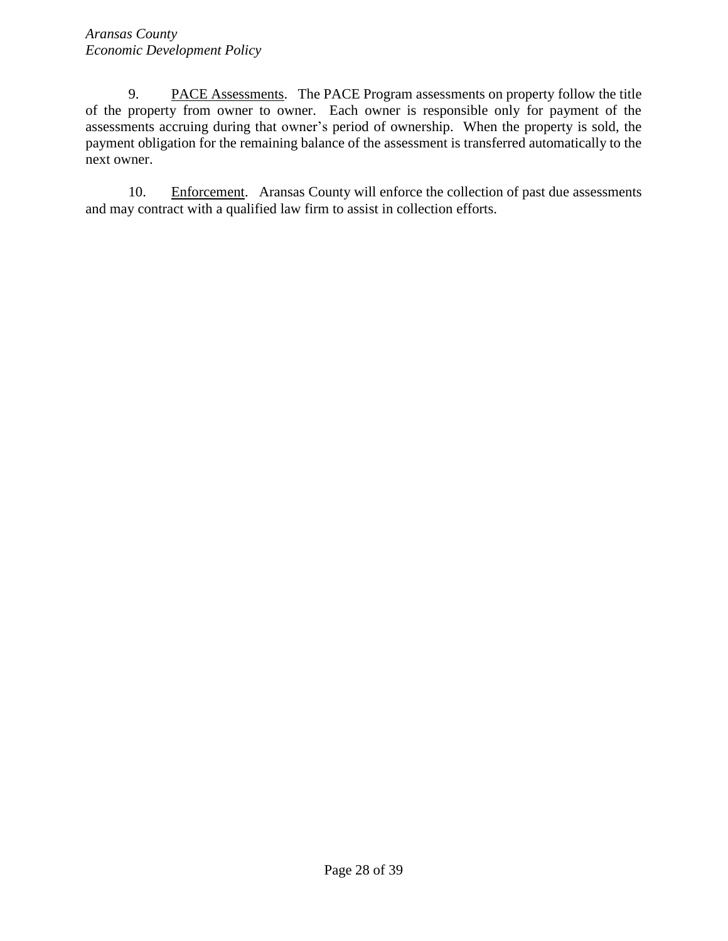9. PACE Assessments. The PACE Program assessments on property follow the title of the property from owner to owner. Each owner is responsible only for payment of the assessments accruing during that owner's period of ownership. When the property is sold, the payment obligation for the remaining balance of the assessment is transferred automatically to the next owner.

<span id="page-27-0"></span>10. Enforcement. Aransas County will enforce the collection of past due assessments and may contract with a qualified law firm to assist in collection efforts.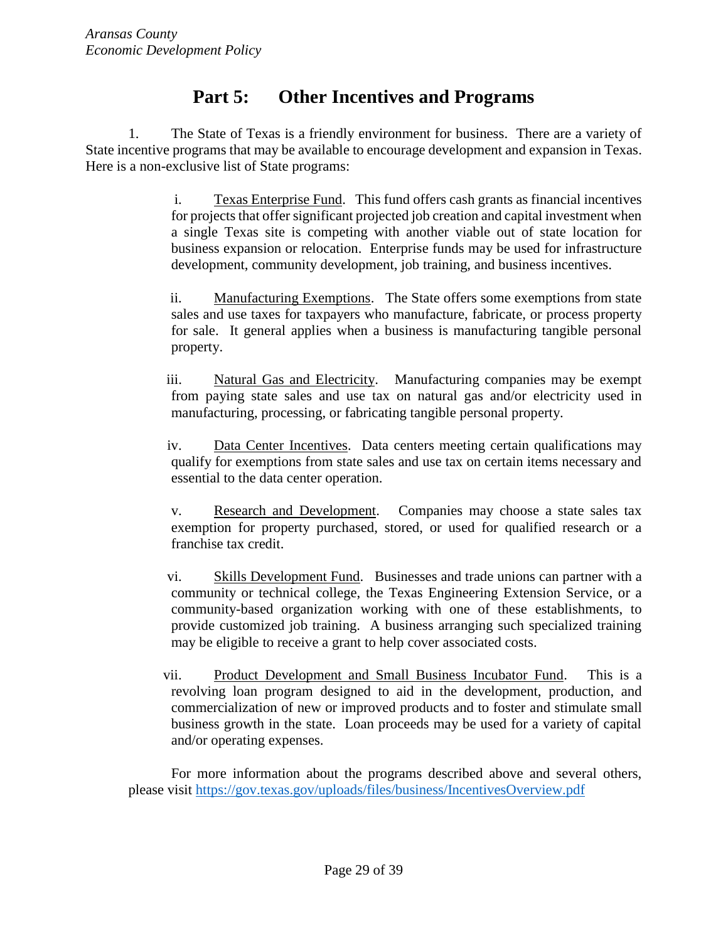# **Part 5: Other Incentives and Programs**

1. The State of Texas is a friendly environment for business. There are a variety of State incentive programs that may be available to encourage development and expansion in Texas. Here is a non-exclusive list of State programs:

> i. Texas Enterprise Fund. This fund offers cash grants as financial incentives for projects that offer significant projected job creation and capital investment when a single Texas site is competing with another viable out of state location for business expansion or relocation. Enterprise funds may be used for infrastructure development, community development, job training, and business incentives.

> ii. Manufacturing Exemptions. The State offers some exemptions from state sales and use taxes for taxpayers who manufacture, fabricate, or process property for sale. It general applies when a business is manufacturing tangible personal property.

> iii. Natural Gas and Electricity. Manufacturing companies may be exempt from paying state sales and use tax on natural gas and/or electricity used in manufacturing, processing, or fabricating tangible personal property.

> iv. Data Center Incentives. Data centers meeting certain qualifications may qualify for exemptions from state sales and use tax on certain items necessary and essential to the data center operation.

> v. Research and Development. Companies may choose a state sales tax exemption for property purchased, stored, or used for qualified research or a franchise tax credit.

> vi. Skills Development Fund. Businesses and trade unions can partner with a community or technical college, the Texas Engineering Extension Service, or a community-based organization working with one of these establishments, to provide customized job training. A business arranging such specialized training may be eligible to receive a grant to help cover associated costs.

> vii. Product Development and Small Business Incubator Fund. This is a revolving loan program designed to aid in the development, production, and commercialization of new or improved products and to foster and stimulate small business growth in the state. Loan proceeds may be used for a variety of capital and/or operating expenses.

For more information about the programs described above and several others, please visit<https://gov.texas.gov/uploads/files/business/IncentivesOverview.pdf>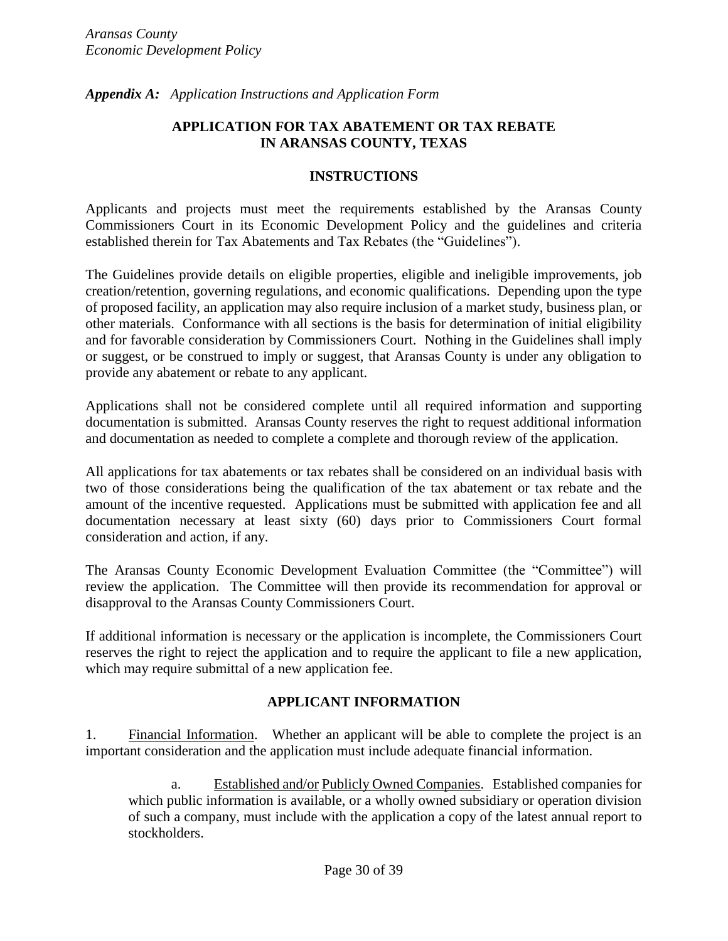<span id="page-29-0"></span>*Appendix A: Application Instructions and Application Form*

#### **APPLICATION FOR TAX ABATEMENT OR TAX REBATE IN ARANSAS COUNTY, TEXAS**

#### **INSTRUCTIONS**

Applicants and projects must meet the requirements established by the Aransas County Commissioners Court in its Economic Development Policy and the guidelines and criteria established therein for Tax Abatements and Tax Rebates (the "Guidelines").

The Guidelines provide details on eligible properties, eligible and ineligible improvements, job creation/retention, governing regulations, and economic qualifications. Depending upon the type of proposed facility, an application may also require inclusion of a market study, business plan, or other materials. Conformance with all sections is the basis for determination of initial eligibility and for favorable consideration by Commissioners Court. Nothing in the Guidelines shall imply or suggest, or be construed to imply or suggest, that Aransas County is under any obligation to provide any abatement or rebate to any applicant.

Applications shall not be considered complete until all required information and supporting documentation is submitted. Aransas County reserves the right to request additional information and documentation as needed to complete a complete and thorough review of the application.

All applications for tax abatements or tax rebates shall be considered on an individual basis with two of those considerations being the qualification of the tax abatement or tax rebate and the amount of the incentive requested. Applications must be submitted with application fee and all documentation necessary at least sixty (60) days prior to Commissioners Court formal consideration and action, if any.

The Aransas County Economic Development Evaluation Committee (the "Committee") will review the application. The Committee will then provide its recommendation for approval or disapproval to the Aransas County Commissioners Court.

If additional information is necessary or the application is incomplete, the Commissioners Court reserves the right to reject the application and to require the applicant to file a new application, which may require submittal of a new application fee.

## **APPLICANT INFORMATION**

1. Financial Information. Whether an applicant will be able to complete the project is an important consideration and the application must include adequate financial information.

a. Established and/or Publicly Owned Companies. Established companies for which public information is available, or a wholly owned subsidiary or operation division of such a company, must include with the application a copy of the latest annual report to stockholders.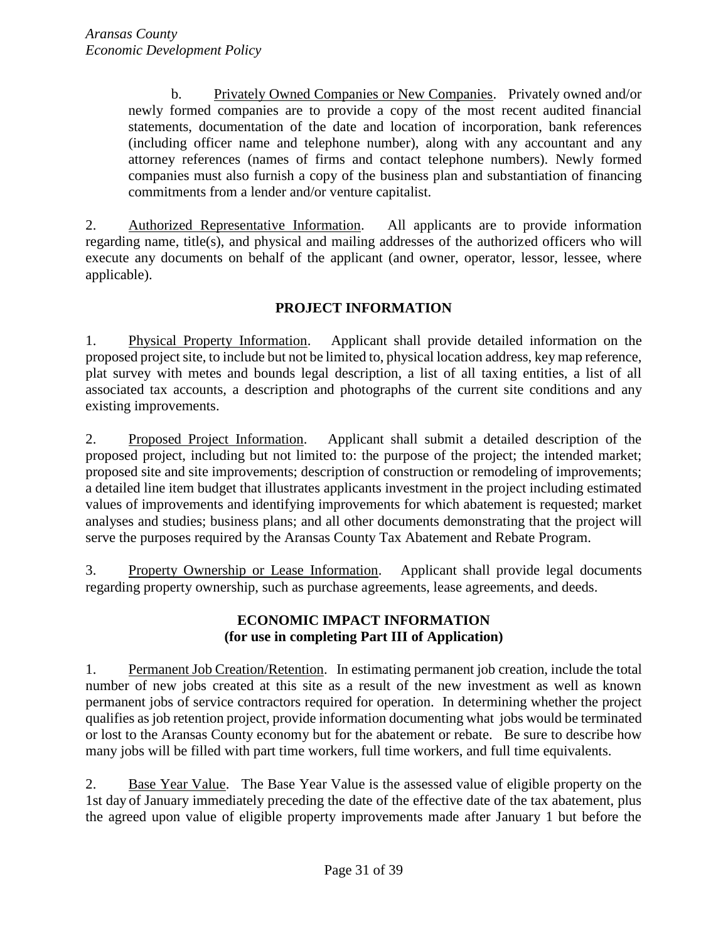b. Privately Owned Companies or New Companies. Privately owned and/or newly formed companies are to provide a copy of the most recent audited financial statements, documentation of the date and location of incorporation, bank references (including officer name and telephone number), along with any accountant and any attorney references (names of firms and contact telephone numbers). Newly formed companies must also furnish a copy of the business plan and substantiation of financing commitments from a lender and/or venture capitalist.

2. Authorized Representative Information. All applicants are to provide information regarding name, title(s), and physical and mailing addresses of the authorized officers who will execute any documents on behalf of the applicant (and owner, operator, lessor, lessee, where applicable).

## **PROJECT INFORMATION**

1. Physical Property Information. Applicant shall provide detailed information on the proposed project site, to include but not be limited to, physical location address, key map reference, plat survey with metes and bounds legal description, a list of all taxing entities, a list of all associated tax accounts, a description and photographs of the current site conditions and any existing improvements.

2. Proposed Project Information. Applicant shall submit a detailed description of the proposed project, including but not limited to: the purpose of the project; the intended market; proposed site and site improvements; description of construction or remodeling of improvements; a detailed line item budget that illustrates applicants investment in the project including estimated values of improvements and identifying improvements for which abatement is requested; market analyses and studies; business plans; and all other documents demonstrating that the project will serve the purposes required by the Aransas County Tax Abatement and Rebate Program.

3. Property Ownership or Lease Information. Applicant shall provide legal documents regarding property ownership, such as purchase agreements, lease agreements, and deeds.

## **ECONOMIC IMPACT INFORMATION (for use in completing Part III of Application)**

1. Permanent Job Creation/Retention. In estimating permanent job creation, include the total number of new jobs created at this site as a result of the new investment as well as known permanent jobs of service contractors required for operation. In determining whether the project qualifies as job retention project, provide information documenting what jobs would be terminated or lost to the Aransas County economy but for the abatement or rebate. Be sure to describe how many jobs will be filled with part time workers, full time workers, and full time equivalents.

2. Base Year Value. The Base Year Value is the assessed value of eligible property on the 1st day of January immediately preceding the date of the effective date of the tax abatement, plus the agreed upon value of eligible property improvements made after January 1 but before the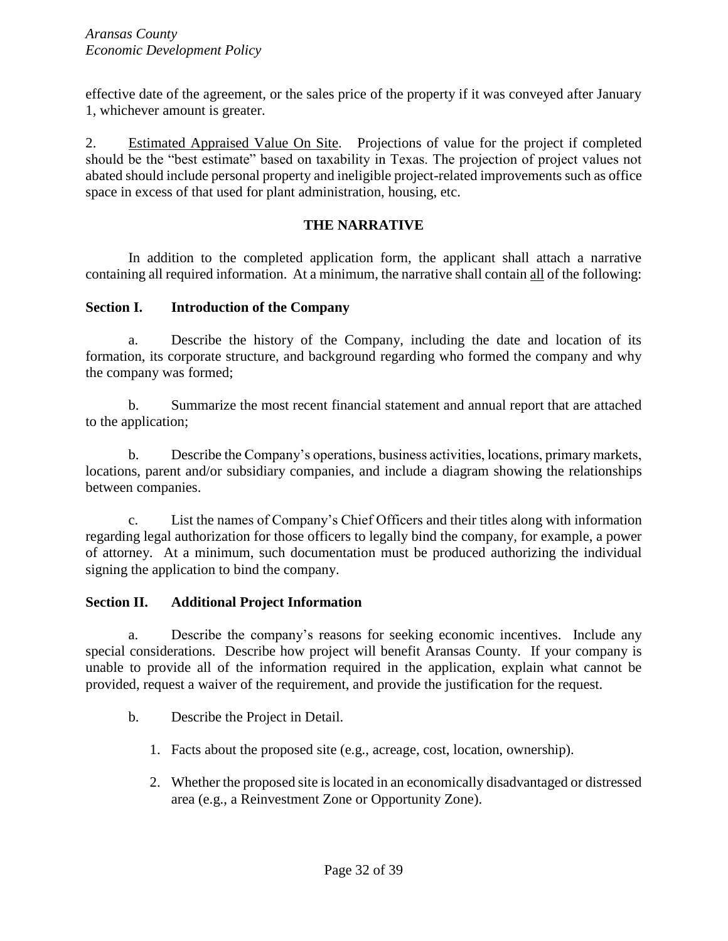effective date of the agreement, or the sales price of the property if it was conveyed after January 1, whichever amount is greater.

2. Estimated Appraised Value On Site. Projections of value for the project if completed should be the "best estimate" based on taxability in Texas. The projection of project values not abated should include personal property and ineligible project-related improvements such as office space in excess of that used for plant administration, housing, etc.

## **THE NARRATIVE**

In addition to the completed application form, the applicant shall attach a narrative containing all required information. At a minimum, the narrative shall contain all of the following:

#### **Section I. Introduction of the Company**

a. Describe the history of the Company, including the date and location of its formation, its corporate structure, and background regarding who formed the company and why the company was formed;

b. Summarize the most recent financial statement and annual report that are attached to the application;

b. Describe the Company's operations, business activities, locations, primary markets, locations, parent and/or subsidiary companies, and include a diagram showing the relationships between companies.

c. List the names of Company's Chief Officers and their titles along with information regarding legal authorization for those officers to legally bind the company, for example, a power of attorney. At a minimum, such documentation must be produced authorizing the individual signing the application to bind the company.

## **Section II. Additional Project Information**

a. Describe the company's reasons for seeking economic incentives. Include any special considerations. Describe how project will benefit Aransas County. If your company is unable to provide all of the information required in the application, explain what cannot be provided, request a waiver of the requirement, and provide the justification for the request.

- b. Describe the Project in Detail.
	- 1. Facts about the proposed site (e.g., acreage, cost, location, ownership).
	- 2. Whether the proposed site is located in an economically disadvantaged or distressed area (e.g., a Reinvestment Zone or Opportunity Zone).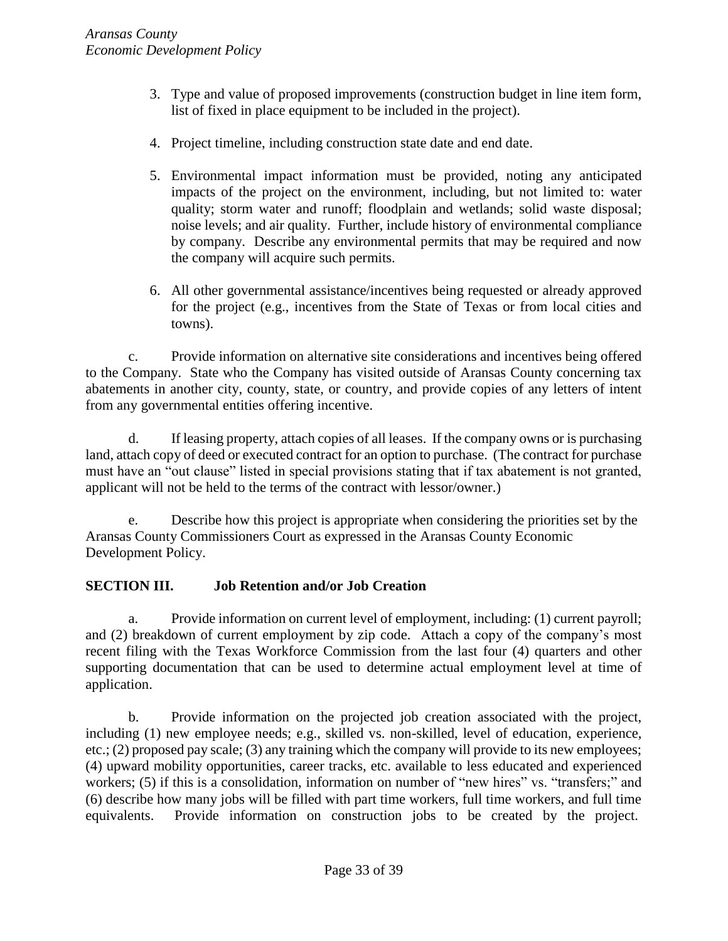- 3. Type and value of proposed improvements (construction budget in line item form, list of fixed in place equipment to be included in the project).
- 4. Project timeline, including construction state date and end date.
- 5. Environmental impact information must be provided, noting any anticipated impacts of the project on the environment, including, but not limited to: water quality; storm water and runoff; floodplain and wetlands; solid waste disposal; noise levels; and air quality. Further, include history of environmental compliance by company. Describe any environmental permits that may be required and now the company will acquire such permits.
- 6. All other governmental assistance/incentives being requested or already approved for the project (e.g., incentives from the State of Texas or from local cities and towns).

c. Provide information on alternative site considerations and incentives being offered to the Company. State who the Company has visited outside of Aransas County concerning tax abatements in another city, county, state, or country, and provide copies of any letters of intent from any governmental entities offering incentive.

d. If leasing property, attach copies of all leases. If the company owns or is purchasing land, attach copy of deed or executed contract for an option to purchase. (The contract for purchase must have an "out clause" listed in special provisions stating that if tax abatement is not granted, applicant will not be held to the terms of the contract with lessor/owner.)

e. Describe how this project is appropriate when considering the priorities set by the Aransas County Commissioners Court as expressed in the Aransas County Economic Development Policy.

## **SECTION III. Job Retention and/or Job Creation**

a. Provide information on current level of employment, including: (1) current payroll; and (2) breakdown of current employment by zip code. Attach a copy of the company's most recent filing with the Texas Workforce Commission from the last four (4) quarters and other supporting documentation that can be used to determine actual employment level at time of application.

b. Provide information on the projected job creation associated with the project, including (1) new employee needs; e.g., skilled vs. non-skilled, level of education, experience, etc.; (2) proposed pay scale; (3) any training which the company will provide to its new employees; (4) upward mobility opportunities, career tracks, etc. available to less educated and experienced workers; (5) if this is a consolidation, information on number of "new hires" vs. "transfers;" and (6) describe how many jobs will be filled with part time workers, full time workers, and full time equivalents. Provide information on construction jobs to be created by the project.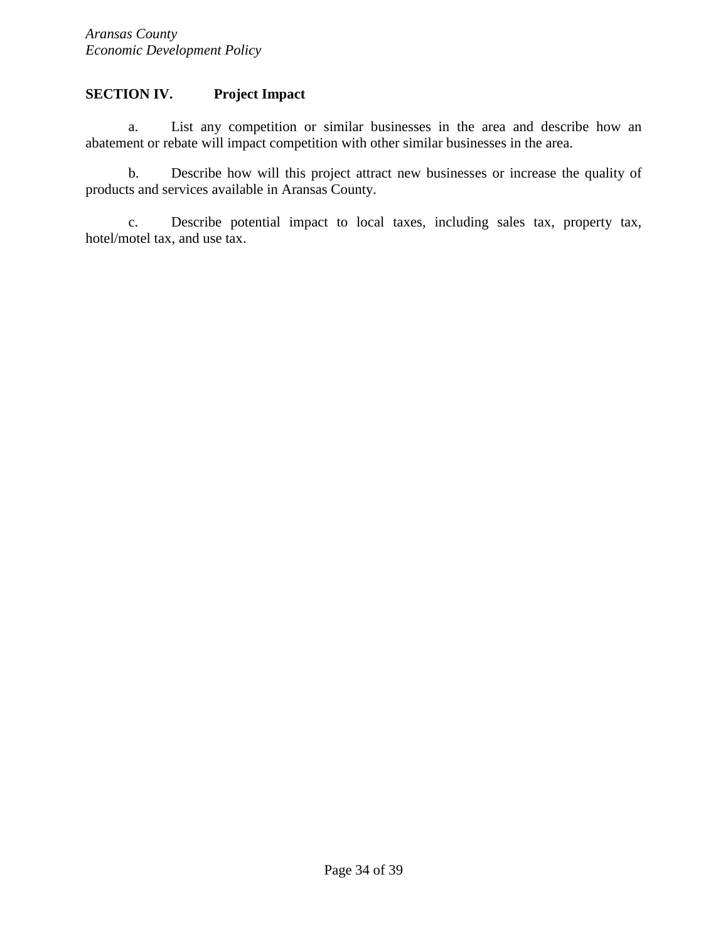## **SECTION IV. Project Impact**

a. List any competition or similar businesses in the area and describe how an abatement or rebate will impact competition with other similar businesses in the area.

b. Describe how will this project attract new businesses or increase the quality of products and services available in Aransas County.

c. Describe potential impact to local taxes, including sales tax, property tax, hotel/motel tax, and use tax.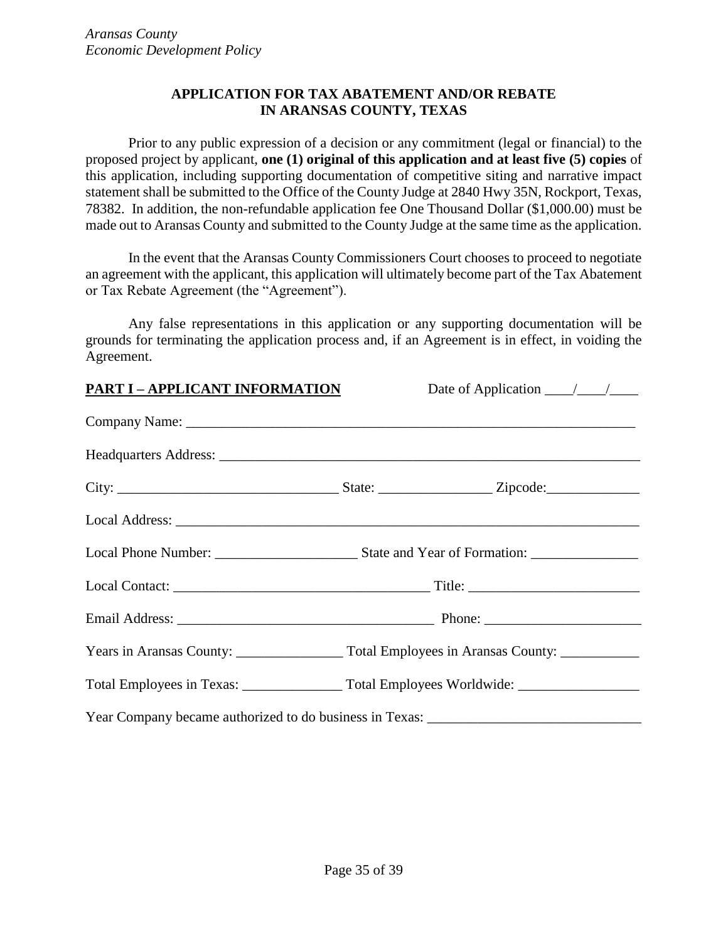#### **APPLICATION FOR TAX ABATEMENT AND/OR REBATE IN ARANSAS COUNTY, TEXAS**

Prior to any public expression of a decision or any commitment (legal or financial) to the proposed project by applicant, **one (1) original of this application and at least five (5) copies** of this application, including supporting documentation of competitive siting and narrative impact statement shall be submitted to the Office of the County Judge at 2840 Hwy 35N, Rockport, Texas, 78382. In addition, the non-refundable application fee One Thousand Dollar (\$1,000.00) must be made out to Aransas County and submitted to the County Judge at the same time as the application.

In the event that the Aransas County Commissioners Court chooses to proceed to negotiate an agreement with the applicant, this application will ultimately become part of the Tax Abatement or Tax Rebate Agreement (the "Agreement").

Any false representations in this application or any supporting documentation will be grounds for terminating the application process and, if an Agreement is in effect, in voiding the Agreement.

| <b>PART I-APPLICANT INFORMATION</b> | Date of Application $\frac{\sqrt{2}}{2}$ |
|-------------------------------------|------------------------------------------|
|                                     |                                          |
|                                     |                                          |
|                                     |                                          |
|                                     |                                          |
|                                     |                                          |
|                                     |                                          |
|                                     |                                          |
|                                     |                                          |
|                                     |                                          |
|                                     |                                          |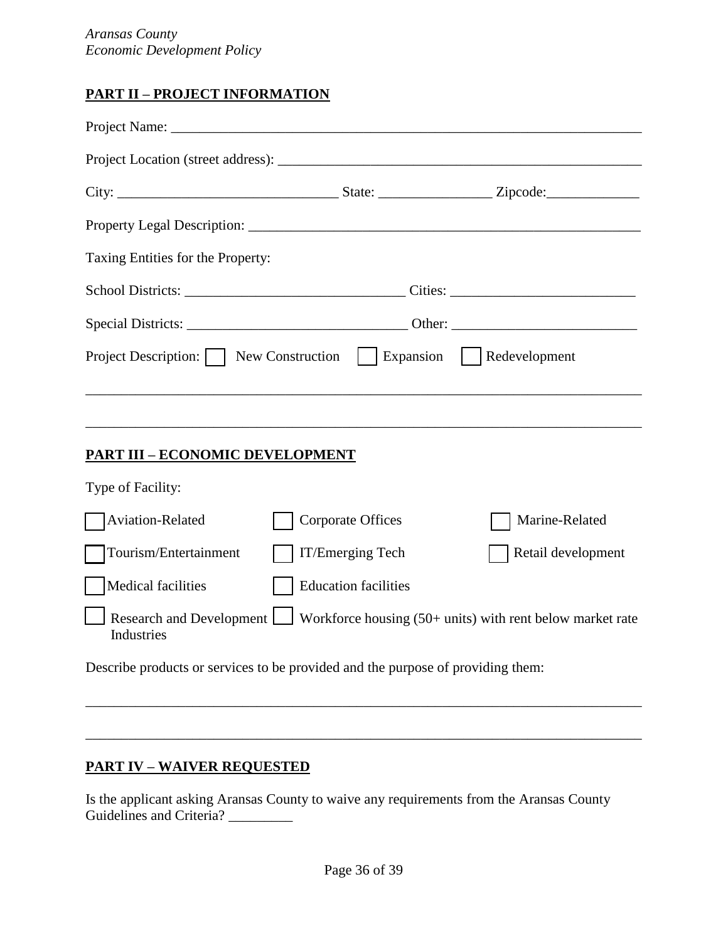## **PART II – PROJECT INFORMATION**

| Taxing Entities for the Property:                                               |                             |                                                           |
|---------------------------------------------------------------------------------|-----------------------------|-----------------------------------------------------------|
|                                                                                 |                             |                                                           |
|                                                                                 |                             |                                                           |
| Project Description:     New Construction                                       | $\vert$ Expansion           | Redevelopment                                             |
|                                                                                 |                             |                                                           |
|                                                                                 |                             |                                                           |
| <u> PART III – ECONOMIC DEVELOPMENT</u>                                         |                             |                                                           |
| Type of Facility:                                                               |                             |                                                           |
| Aviation-Related                                                                | <b>Corporate Offices</b>    | Marine-Related                                            |
| Tourism/Entertainment                                                           | IT/Emerging Tech            | Retail development                                        |
| Medical facilities                                                              | <b>Education facilities</b> |                                                           |
| Research and Development<br>Industries                                          |                             | Workforce housing (50+ units) with rent below market rate |
| Describe products or services to be provided and the purpose of providing them: |                             |                                                           |

## **PART IV – WAIVER REQUESTED**

Is the applicant asking Aransas County to waive any requirements from the Aransas County Guidelines and Criteria? \_\_\_\_\_\_\_\_\_

\_\_\_\_\_\_\_\_\_\_\_\_\_\_\_\_\_\_\_\_\_\_\_\_\_\_\_\_\_\_\_\_\_\_\_\_\_\_\_\_\_\_\_\_\_\_\_\_\_\_\_\_\_\_\_\_\_\_\_\_\_\_\_\_\_\_\_\_\_\_\_\_\_\_\_\_\_\_

\_\_\_\_\_\_\_\_\_\_\_\_\_\_\_\_\_\_\_\_\_\_\_\_\_\_\_\_\_\_\_\_\_\_\_\_\_\_\_\_\_\_\_\_\_\_\_\_\_\_\_\_\_\_\_\_\_\_\_\_\_\_\_\_\_\_\_\_\_\_\_\_\_\_\_\_\_\_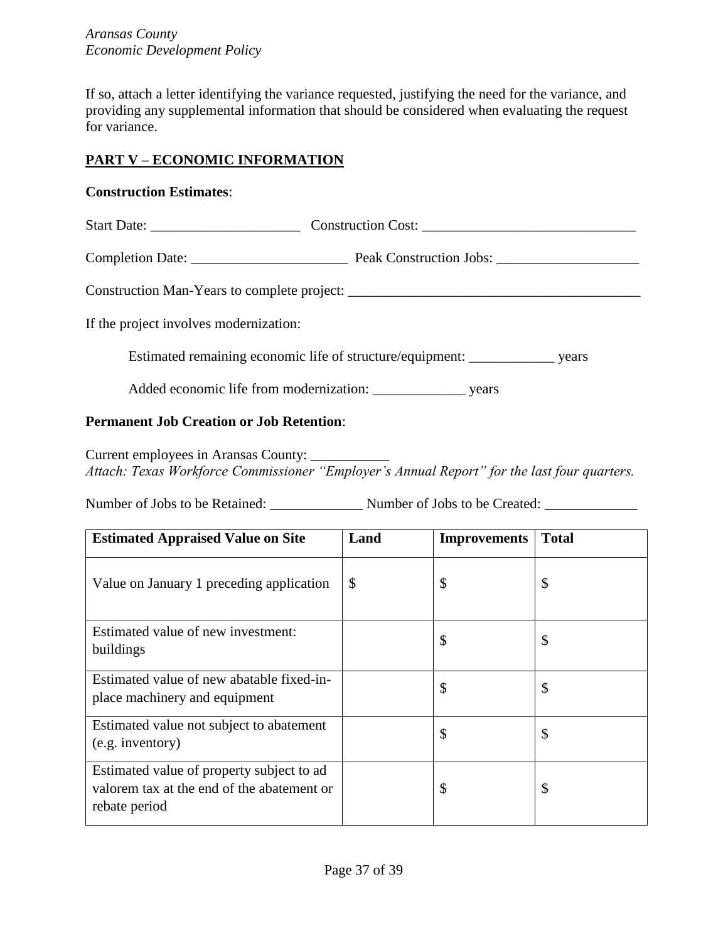If so, attach a letter identifying the variance requested, justifying the need for the variance, and providing any supplemental information that should be considered when evaluating the request for variance.

## **PART V – ECONOMIC INFORMATION**

## **Construction Estimates**:

|                                        | Start Date: Construction Cost: Construction Cost:                                     |
|----------------------------------------|---------------------------------------------------------------------------------------|
|                                        |                                                                                       |
|                                        |                                                                                       |
| If the project involves modernization: |                                                                                       |
|                                        | Estimated remaining economic life of structure/equipment: _____________________ years |
|                                        |                                                                                       |

## **Permanent Job Creation or Job Retention**:

Current employees in Aransas County: \_\_\_\_\_\_\_\_\_\_\_ *Attach: Texas Workforce Commissioner "Employer's Annual Report" for the last four quarters.*

Number of Jobs to be Retained: \_\_\_\_\_\_\_\_\_\_\_\_\_ Number of Jobs to be Created: \_\_\_\_\_\_\_\_\_\_\_\_\_

| <b>Estimated Appraised Value on Site</b>                                                                 | Land          | <b>Improvements</b> | <b>Total</b> |
|----------------------------------------------------------------------------------------------------------|---------------|---------------------|--------------|
| Value on January 1 preceding application                                                                 | $\mathcal{S}$ | \$                  | \$           |
| Estimated value of new investment:<br>buildings                                                          |               | \$                  | \$           |
| Estimated value of new abatable fixed-in-<br>place machinery and equipment                               |               | \$                  | \$           |
| Estimated value not subject to abatement<br>(e.g. inventory)                                             |               | \$                  | \$           |
| Estimated value of property subject to ad<br>valorem tax at the end of the abatement or<br>rebate period |               | \$                  | \$           |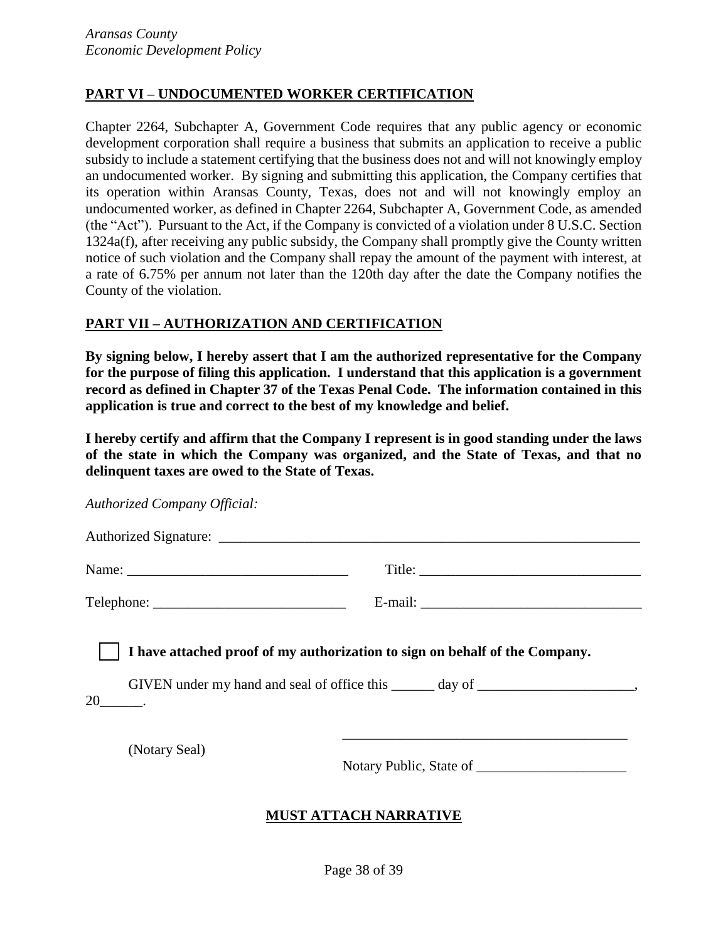## **PART VI – UNDOCUMENTED WORKER CERTIFICATION**

Chapter 2264, Subchapter A, Government Code requires that any public agency or economic development corporation shall require a business that submits an application to receive a public subsidy to include a statement certifying that the business does not and will not knowingly employ an undocumented worker. By signing and submitting this application, the Company certifies that its operation within Aransas County, Texas, does not and will not knowingly employ an undocumented worker, as defined in Chapter 2264, Subchapter A, Government Code, as amended (the "Act"). Pursuant to the Act, if the Company is convicted of a violation under 8 U.S.C. Section 1324a(f), after receiving any public subsidy, the Company shall promptly give the County written notice of such violation and the Company shall repay the amount of the payment with interest, at a rate of 6.75% per annum not later than the 120th day after the date the Company notifies the County of the violation.

#### **PART VII – AUTHORIZATION AND CERTIFICATION**

**By signing below, I hereby assert that I am the authorized representative for the Company for the purpose of filing this application. I understand that this application is a government record as defined in Chapter 37 of the Texas Penal Code. The information contained in this application is true and correct to the best of my knowledge and belief.** 

**I hereby certify and affirm that the Company I represent is in good standing under the laws of the state in which the Company was organized, and the State of Texas, and that no delinquent taxes are owed to the State of Texas.**

| <b>Authorized Company Official:</b> |                                                                                                                                                                  |
|-------------------------------------|------------------------------------------------------------------------------------------------------------------------------------------------------------------|
|                                     |                                                                                                                                                                  |
|                                     |                                                                                                                                                                  |
|                                     |                                                                                                                                                                  |
| (Notary Seal)                       | I have attached proof of my authorization to sign on behalf of the Company.<br>GIVEN under my hand and seal of office this ______ day of ______________________, |

## **MUST ATTACH NARRATIVE**